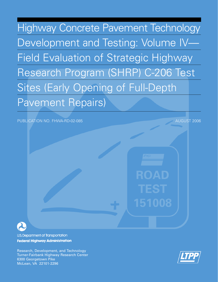Highway Concrete Pavement Technology Development and Testing: Volume IV— Field Evaluation of Strategic Highway Research Program (SHRP) C-206 Test Sites (Early Opening of Full-Depth Pavement Repairs)

### PUBLICATION NO. FHWA-RD-02-085 AUGUST 2006

ROAD

151008



U.S. Department of Transportation **Federal Highway Administration** 

Research, Development, and Technology Turner-Fairbank Highway Research Center 6300 Georgetown Pike McLean, VA 22101-2296

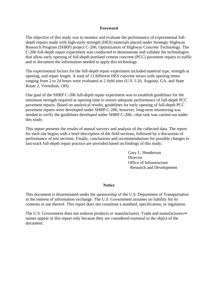#### **Foreword**

The objective of this study was to monitor and evaluate the performance of experimental fulldepth repairs made with high-early-strength (HES) materials placed under Strategic Highway Research Program (SHRP) project C-206, Optimization of Highway Concrete Technology. The C-206 full-depth repair experiment was conducted to demonstrate and validate the technologies that allow early opening of full-depth portland cement concrete (PCC) pavement repairs to traffic and to document the information needed to apply this technology.

The experimental factors for the full-depth repair experiment included material type, strength at opening, and repair length. A total of 11 different HES concrete mixes with opening times ranging from 2 to 24 hours were evaluated at 2 field sites (U.S. I-20, Augusta, GA, and State Route 2, Vermilion, OH).

One goal of the SHRP C-206 full-depth repair experiment was to establish guidelines for the minimum strength required at opening time to ensure adequate performance of full-depth PCC pavement repairs. Based on analytical results, guidelines for early opening of full-depth PCC pavement repairs were developed under SHRP C-206; however, long-term monitoring was needed to verify the guidelines developed under SHRP C-206—that task was carried out under this study.

This report presents the results of annual surveys and analysis of the collected data. The report for each site begins with a brief description of the field sections, followed by a discussion of performance of test sections. Finally, conclusions and recommendations for possible changes to fast-track full-depth repair practice are provided based on findings of this study.

> Gary L. Henderson **Director** Office of Infrastructure Research and Development

#### **Notice**

This document is disseminated under the sponsorship of the U.S. Department of Transportation in the interest of information exchange. The U.S. Government assumes no liability for its contents or use thereof. This report does not constitute a standard, specification, or regulation.

The U.S. Government does not endorse products or manufacturers. Trade and manufacturers= names appear in this report only because they are considered essential to the object of the document.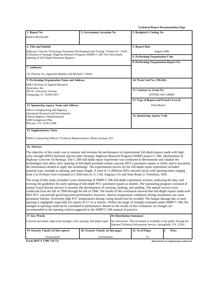**Technical Report Documentation Page** 

| 1. Report No.                                                                                                                                                                                                                                                                                                                                                                                                                                                                                                                                                                                                                                                                                                                                                                                                                                                                                                                                                                                                                                                                                                                 | 2. Government Accession No.          |                                   | 3. Recipient's Catalog No.                                                                                                              |                                           |  |
|-------------------------------------------------------------------------------------------------------------------------------------------------------------------------------------------------------------------------------------------------------------------------------------------------------------------------------------------------------------------------------------------------------------------------------------------------------------------------------------------------------------------------------------------------------------------------------------------------------------------------------------------------------------------------------------------------------------------------------------------------------------------------------------------------------------------------------------------------------------------------------------------------------------------------------------------------------------------------------------------------------------------------------------------------------------------------------------------------------------------------------|--------------------------------------|-----------------------------------|-----------------------------------------------------------------------------------------------------------------------------------------|-------------------------------------------|--|
| <b>FHWA-RD-02-085</b>                                                                                                                                                                                                                                                                                                                                                                                                                                                                                                                                                                                                                                                                                                                                                                                                                                                                                                                                                                                                                                                                                                         |                                      |                                   |                                                                                                                                         |                                           |  |
|                                                                                                                                                                                                                                                                                                                                                                                                                                                                                                                                                                                                                                                                                                                                                                                                                                                                                                                                                                                                                                                                                                                               |                                      |                                   |                                                                                                                                         |                                           |  |
| 4. Title and Subtitle                                                                                                                                                                                                                                                                                                                                                                                                                                                                                                                                                                                                                                                                                                                                                                                                                                                                                                                                                                                                                                                                                                         |                                      |                                   | 5. Report Date                                                                                                                          |                                           |  |
| Highway Concrete Technology Pavement Development and Testing: Volume IV—Field                                                                                                                                                                                                                                                                                                                                                                                                                                                                                                                                                                                                                                                                                                                                                                                                                                                                                                                                                                                                                                                 |                                      |                                   | August 2006                                                                                                                             |                                           |  |
| Evaluation of Strategic Highway Research Program (SHRP) C-206 Test Sites (Early<br>Opening of Full-Depth Pavement Repairs)                                                                                                                                                                                                                                                                                                                                                                                                                                                                                                                                                                                                                                                                                                                                                                                                                                                                                                                                                                                                    |                                      |                                   | 6. Performing Organization Code                                                                                                         |                                           |  |
|                                                                                                                                                                                                                                                                                                                                                                                                                                                                                                                                                                                                                                                                                                                                                                                                                                                                                                                                                                                                                                                                                                                               |                                      |                                   | 8. Performing Organization Report No.                                                                                                   |                                           |  |
| 7. Author(s)                                                                                                                                                                                                                                                                                                                                                                                                                                                                                                                                                                                                                                                                                                                                                                                                                                                                                                                                                                                                                                                                                                                  |                                      |                                   |                                                                                                                                         |                                           |  |
| H. Thomas Yu, Jagannath Mallela, and Michael I. Darter                                                                                                                                                                                                                                                                                                                                                                                                                                                                                                                                                                                                                                                                                                                                                                                                                                                                                                                                                                                                                                                                        |                                      |                                   |                                                                                                                                         |                                           |  |
| 9. Performing Organization Name and Address                                                                                                                                                                                                                                                                                                                                                                                                                                                                                                                                                                                                                                                                                                                                                                                                                                                                                                                                                                                                                                                                                   |                                      |                                   | 10. Work Unit No. (TRAIS)                                                                                                               |                                           |  |
| <b>ERES Division of Applied Research</b>                                                                                                                                                                                                                                                                                                                                                                                                                                                                                                                                                                                                                                                                                                                                                                                                                                                                                                                                                                                                                                                                                      |                                      |                                   |                                                                                                                                         |                                           |  |
| Associates, Inc.<br>505 W. University Avenue                                                                                                                                                                                                                                                                                                                                                                                                                                                                                                                                                                                                                                                                                                                                                                                                                                                                                                                                                                                                                                                                                  |                                      |                                   | 11. Contract or Grant No.                                                                                                               |                                           |  |
| Champaign, IL 61820-3915                                                                                                                                                                                                                                                                                                                                                                                                                                                                                                                                                                                                                                                                                                                                                                                                                                                                                                                                                                                                                                                                                                      |                                      |                                   | DTFH61-94-C-00009                                                                                                                       |                                           |  |
|                                                                                                                                                                                                                                                                                                                                                                                                                                                                                                                                                                                                                                                                                                                                                                                                                                                                                                                                                                                                                                                                                                                               |                                      |                                   | 13. Type of Report and Period Covered                                                                                                   |                                           |  |
| 12. Sponsoring Agency Name and Address                                                                                                                                                                                                                                                                                                                                                                                                                                                                                                                                                                                                                                                                                                                                                                                                                                                                                                                                                                                                                                                                                        |                                      |                                   | <b>Final Report</b>                                                                                                                     |                                           |  |
| Office of Engineering and Highway                                                                                                                                                                                                                                                                                                                                                                                                                                                                                                                                                                                                                                                                                                                                                                                                                                                                                                                                                                                                                                                                                             |                                      |                                   |                                                                                                                                         |                                           |  |
| <b>Operations Research and Development</b><br>Federal Highway Administration                                                                                                                                                                                                                                                                                                                                                                                                                                                                                                                                                                                                                                                                                                                                                                                                                                                                                                                                                                                                                                                  |                                      |                                   | 14. Sponsoring Agency Code                                                                                                              |                                           |  |
| 6300 Georgetown Pike                                                                                                                                                                                                                                                                                                                                                                                                                                                                                                                                                                                                                                                                                                                                                                                                                                                                                                                                                                                                                                                                                                          |                                      |                                   |                                                                                                                                         |                                           |  |
| McLean, VA 22101-2296                                                                                                                                                                                                                                                                                                                                                                                                                                                                                                                                                                                                                                                                                                                                                                                                                                                                                                                                                                                                                                                                                                         |                                      |                                   |                                                                                                                                         |                                           |  |
| <b>15. Supplementary Notes</b>                                                                                                                                                                                                                                                                                                                                                                                                                                                                                                                                                                                                                                                                                                                                                                                                                                                                                                                                                                                                                                                                                                |                                      |                                   |                                                                                                                                         |                                           |  |
| FHWA Contracting Officer's Technical Representative: Monte Symons, P.E.                                                                                                                                                                                                                                                                                                                                                                                                                                                                                                                                                                                                                                                                                                                                                                                                                                                                                                                                                                                                                                                       |                                      |                                   |                                                                                                                                         |                                           |  |
| 16. Abstract                                                                                                                                                                                                                                                                                                                                                                                                                                                                                                                                                                                                                                                                                                                                                                                                                                                                                                                                                                                                                                                                                                                  |                                      |                                   |                                                                                                                                         |                                           |  |
| The objective of this study was to monitor and evaluate the performance of experimental full-depth repairs made with high-<br>early-strength (HES) materials placed under Strategic Highway Research Program (SHRP) project C-206, Optimization of<br>Highway Concrete Technology. The C-206 full-depth repair experiment was conducted to demonstrate and validate the<br>technologies that allow early opening of full-depth portland cement concrete (PCC) pavement repairs to traffic and to document<br>the information needed to apply this technology. The experimental factors for the full-depth repair experiment included<br>material type, strength at opening, and repair length. A total of 11 different HES concrete mixes with opening times ranging<br>from 2 to 24 hours were evaluated at 2 field sites (U.S. I-20, Augusta, GA and State Route 2, Vermilion, OH).                                                                                                                                                                                                                                         |                                      |                                   |                                                                                                                                         |                                           |  |
| The scope of this study included 5-year monitoring of SHRP C-206 full-depth experiment sections, analyzing the data, and<br>revising the guidelines for early opening of full-depth PCC pavement repairs as needed. The monitoring program consisted of<br>annual visual distress surveys to monitor the development of cracking, faulting, and spalling. The annual surveys were<br>conducted from the fall of 1994 through the fall of 1998. The results of this evaluation showed that full-depth repairs made with<br>HES PCC can provide good long-term performance; however, adverse temperature conditions during installation can cause<br>premature failures. Extremely high PCC temperatures during curing should also be avoided. The fatigue damage due to early<br>opening is negligible, especially for repairs of 3.7 m or shorter. Within the range of strength evaluated under SHRP C-206, the<br>strength at opening could not be correlated to performance. Based on the results of this evaluation, no changes are<br>recommended to the opening criteria suggested in the SHRP C-206 manual of practice. |                                      |                                   |                                                                                                                                         |                                           |  |
| 17. Key Words                                                                                                                                                                                                                                                                                                                                                                                                                                                                                                                                                                                                                                                                                                                                                                                                                                                                                                                                                                                                                                                                                                                 |                                      | <b>18. Distribution Statement</b> |                                                                                                                                         |                                           |  |
| Concrete pavement, high-early-strength, early opening, full-depth repair                                                                                                                                                                                                                                                                                                                                                                                                                                                                                                                                                                                                                                                                                                                                                                                                                                                                                                                                                                                                                                                      |                                      |                                   | No restrictions. This document is available to the public through the<br>National Technical Information Service, Springfield, VA 22161. |                                           |  |
| 19. Security Classif. (of this report)                                                                                                                                                                                                                                                                                                                                                                                                                                                                                                                                                                                                                                                                                                                                                                                                                                                                                                                                                                                                                                                                                        | 20. Security Classif. (of this page) |                                   | 21. No of Pages                                                                                                                         | 1.<br>Price                               |  |
| Unclassified                                                                                                                                                                                                                                                                                                                                                                                                                                                                                                                                                                                                                                                                                                                                                                                                                                                                                                                                                                                                                                                                                                                  | Unclassified                         |                                   | 51                                                                                                                                      |                                           |  |
| Form DOT F 1700.7 (8-72)                                                                                                                                                                                                                                                                                                                                                                                                                                                                                                                                                                                                                                                                                                                                                                                                                                                                                                                                                                                                                                                                                                      |                                      |                                   |                                                                                                                                         | Reproduction of completed page authorized |  |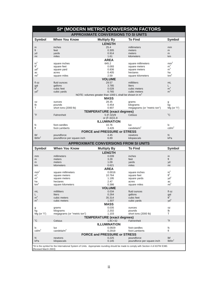|                                 |                                          | SI* (MODERN METRIC) CONVERSION FACTORS                             |                                              |                                  |  |  |  |  |  |
|---------------------------------|------------------------------------------|--------------------------------------------------------------------|----------------------------------------------|----------------------------------|--|--|--|--|--|
|                                 |                                          | <b>APPROXIMATE CONVERSIONS TO SI UNITS</b>                         |                                              |                                  |  |  |  |  |  |
| <b>Symbol</b>                   | <b>When You Know</b>                     | <b>Multiply By</b>                                                 | <b>To Find</b>                               | <b>Symbol</b>                    |  |  |  |  |  |
|                                 |                                          | <b>LENGTH</b>                                                      |                                              |                                  |  |  |  |  |  |
| in                              | inches                                   | 25.4                                                               | millimeters                                  | mm                               |  |  |  |  |  |
| ft                              | feet                                     | 0.305                                                              | meters                                       | m                                |  |  |  |  |  |
| yd                              | yards                                    | 0.914                                                              | meters                                       | m                                |  |  |  |  |  |
| mi                              | miles                                    | 1.61<br><b>AREA</b>                                                | kilometers                                   | km                               |  |  |  |  |  |
| $in^2$                          | square inches                            | 645.2                                                              | square millimeters                           | $\mbox{mm}^2$                    |  |  |  |  |  |
| $\mbox{ft}^2$                   | square feet                              | 0.093                                                              | square meters                                | m <sup>2</sup>                   |  |  |  |  |  |
| $yd^2$                          | square yard                              | 0.836                                                              | square meters                                | m <sup>2</sup>                   |  |  |  |  |  |
| ac                              | acres                                    | 0.405                                                              | hectares                                     | ha                               |  |  |  |  |  |
| $mi^2$                          | square miles                             | 2.59                                                               | square kilometers                            | km <sup>2</sup>                  |  |  |  |  |  |
|                                 |                                          | <b>VOLUME</b>                                                      |                                              |                                  |  |  |  |  |  |
| fl oz                           | fluid ounces                             | 29.57                                                              | milliliters                                  | mL                               |  |  |  |  |  |
| gal                             | qallons                                  | 3.785                                                              | liters                                       | L                                |  |  |  |  |  |
| $\tilde{t}^3$<br>$yd^3$         | cubic feet                               | 0.028<br>0.765                                                     | cubic meters<br>cubic meters                 | m <sup>3</sup><br>m <sup>3</sup> |  |  |  |  |  |
|                                 | cubic yards                              | NOTE: volumes greater than 1000 L shall be shown in m <sup>3</sup> |                                              |                                  |  |  |  |  |  |
|                                 |                                          | <b>MASS</b>                                                        |                                              |                                  |  |  |  |  |  |
| 0Z                              | ounces                                   | 28.35                                                              | grams                                        | g                                |  |  |  |  |  |
| lb                              | pounds                                   | 0.454                                                              | kilograms                                    | kg                               |  |  |  |  |  |
| Τ                               | short tons (2000 lb)                     | 0.907                                                              | megagrams (or "metric ton")                  | $Mg$ (or "t")                    |  |  |  |  |  |
|                                 |                                          | <b>TEMPERATURE (exact degrees)</b>                                 |                                              |                                  |  |  |  |  |  |
| °F                              | Fahrenheit                               | 5 (F-32)/9                                                         | Celsius                                      | $^{\circ}$ C                     |  |  |  |  |  |
|                                 |                                          | or (F-32)/1.8                                                      |                                              |                                  |  |  |  |  |  |
|                                 |                                          | <b>ILLUMINATION</b>                                                |                                              |                                  |  |  |  |  |  |
| fc                              | foot-candles                             | 10.76                                                              | lux                                          | lχ                               |  |  |  |  |  |
| fl                              | foot-Lamberts                            | 3.426                                                              | candela/ $m2$                                | $\text{cd/m}^2$                  |  |  |  |  |  |
|                                 |                                          | <b>FORCE and PRESSURE or STRESS</b>                                |                                              |                                  |  |  |  |  |  |
| Ibf<br>lbf/in <sup>2</sup>      | poundforce<br>poundforce per square inch | 4.45<br>6.89                                                       | newtons                                      | N<br>kPa                         |  |  |  |  |  |
|                                 |                                          |                                                                    | kilopascals                                  |                                  |  |  |  |  |  |
|                                 |                                          |                                                                    | <b>APPROXIMATE CONVERSIONS FROM SI UNITS</b> |                                  |  |  |  |  |  |
|                                 |                                          |                                                                    |                                              |                                  |  |  |  |  |  |
| <b>Symbol</b>                   | <b>When You Know</b>                     | <b>Multiply By</b>                                                 | <b>To Find</b>                               | <b>Symbol</b>                    |  |  |  |  |  |
|                                 |                                          | <b>LENGTH</b>                                                      |                                              |                                  |  |  |  |  |  |
| mm                              | millimeters                              | 0.039                                                              | inches                                       | in                               |  |  |  |  |  |
| m                               | meters                                   | 3.28                                                               | feet                                         | ft                               |  |  |  |  |  |
| m                               | meters                                   | 1.09                                                               | yards                                        | yd                               |  |  |  |  |  |
| km                              | kilometers                               | 0.621                                                              | miles                                        | mi                               |  |  |  |  |  |
|                                 |                                          | <b>AREA</b>                                                        |                                              |                                  |  |  |  |  |  |
| $\text{mm}^2$<br>m <sup>2</sup> | square millimeters<br>square meters      | 0.0016<br>10.764                                                   | square inches<br>square feet                 | $in^2$<br>ft <sup>2</sup>        |  |  |  |  |  |
| m <sup>2</sup>                  | square meters                            | 1.195                                                              | square yards                                 | $yd^2$                           |  |  |  |  |  |
| ha                              | hectares                                 | 2.47                                                               | acres                                        | ac                               |  |  |  |  |  |
| km <sup>2</sup>                 | square kilometers                        | 0.386                                                              | square miles                                 | mi <sup>2</sup>                  |  |  |  |  |  |
|                                 |                                          | <b>VOLUME</b>                                                      |                                              |                                  |  |  |  |  |  |
| mL                              | milliliters                              | 0.034                                                              | fluid ounces                                 | fl oz                            |  |  |  |  |  |
| L                               | liters                                   | 0.264                                                              | gallons                                      | gal                              |  |  |  |  |  |
| m <sup>3</sup>                  | cubic meters                             | 35.314                                                             | cubic feet                                   | $\mathbf{t}^3$                   |  |  |  |  |  |
| m <sup>3</sup>                  | cubic meters                             | 1.307                                                              | cubic yards                                  | $yd^3$                           |  |  |  |  |  |
|                                 |                                          | <b>MASS</b>                                                        |                                              |                                  |  |  |  |  |  |
| g<br>kg                         | grams<br>kilograms                       | 0.035<br>2.202                                                     | ounces<br>pounds                             | 0Z<br>lb                         |  |  |  |  |  |
| $Mg$ (or "t")                   | megagrams (or "metric ton")              | 1.103                                                              | short tons (2000 lb)                         | т                                |  |  |  |  |  |
|                                 |                                          | <b>TEMPERATURE (exact degrees)</b>                                 |                                              |                                  |  |  |  |  |  |
| °C                              | Celsius                                  | $1.8C + 32$                                                        | Fahrenheit                                   | $\mathrm{P}$                     |  |  |  |  |  |
|                                 |                                          | <b>ILLUMINATION</b>                                                |                                              |                                  |  |  |  |  |  |
| lχ                              | lux                                      | 0.0929                                                             | foot-candles                                 | fc                               |  |  |  |  |  |
| $\text{cd/m}^2$                 | candela/ $m2$                            | 0.2919                                                             | foot-Lamberts                                | fl                               |  |  |  |  |  |
|                                 |                                          | <b>FORCE and PRESSURE or STRESS</b>                                |                                              |                                  |  |  |  |  |  |
| N                               | newtons                                  | 0.225                                                              | poundforce                                   | Ibf                              |  |  |  |  |  |
| kPa                             | kilopascals                              | 0.145                                                              | poundforce per square inch                   | lbf/in <sup>2</sup>              |  |  |  |  |  |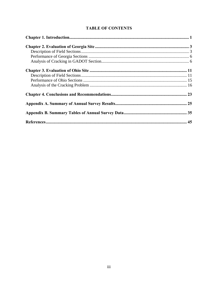|  | <b>TABLE OF CONTENTS</b> |
|--|--------------------------|
|--|--------------------------|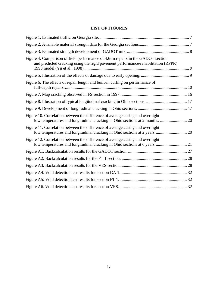# **LIST OF FIGURES**

| Figure 4. Comparison of field performance of 4.6-m repairs in the GADOT section<br>and predicted cracking using the rigid pavement performance/rehabilitation (RPPR) |  |
|----------------------------------------------------------------------------------------------------------------------------------------------------------------------|--|
|                                                                                                                                                                      |  |
| Figure 6. The effects of repair length and built-in curling on performance of                                                                                        |  |
|                                                                                                                                                                      |  |
|                                                                                                                                                                      |  |
|                                                                                                                                                                      |  |
| Figure 10. Correlation between the difference of average curing and overnight<br>low temperatures and longitudinal cracking in Ohio sections at 2 months.  20        |  |
| Figure 11. Correlation between the difference of average curing and overnight<br>low temperatures and longitudinal cracking in Ohio sections at 2 years 20           |  |
| Figure 12. Correlation between the difference of average curing and overnight<br>low temperatures and longitudinal cracking in Ohio sections at 6 years 21           |  |
|                                                                                                                                                                      |  |
|                                                                                                                                                                      |  |
|                                                                                                                                                                      |  |
|                                                                                                                                                                      |  |
|                                                                                                                                                                      |  |
|                                                                                                                                                                      |  |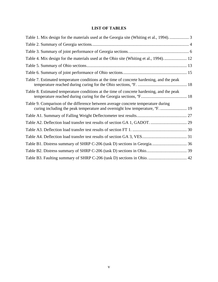# **LIST OF TABLES**

| Table 1. Mix design for the materials used at the Georgia site (Whiting et al., 1994).  3                                                                         |
|-------------------------------------------------------------------------------------------------------------------------------------------------------------------|
|                                                                                                                                                                   |
|                                                                                                                                                                   |
|                                                                                                                                                                   |
|                                                                                                                                                                   |
|                                                                                                                                                                   |
| Table 7. Estimated temperature conditions at the time of concrete hardening, and the peak                                                                         |
| Table 8. Estimated temperature conditions at the time of concrete hardening, and the peak                                                                         |
| Table 9. Comparison of the difference between average concrete temperature during<br>curing including the peak temperature and overnight low temperature, °F.  19 |
|                                                                                                                                                                   |
|                                                                                                                                                                   |
|                                                                                                                                                                   |
|                                                                                                                                                                   |
|                                                                                                                                                                   |
|                                                                                                                                                                   |
|                                                                                                                                                                   |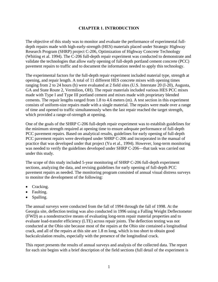### **CHAPTER 1. INTRODUCTION**

<span id="page-8-0"></span>The objective of this study was to monitor and evaluate the performance of experimental fulldepth repairs made with high-early-strength (HES) materials placed under Strategic Highway Research Program (SHRP) project C-206, Optimization of Highway Concrete Technology (Whiting et al. 1994). The C-206 full-depth repair experiment was conducted to demonstrate and validate the technologies that allow early opening of full-depth portland cement concrete (PCC) pavement repairs to traffic and to document the information needed to apply this technology.

The experimental factors for the full-depth repair experiment included material type, strength at opening, and repair length. A total of 11 different HES concrete mixes with opening times ranging from 2 to 24 hours (h) were evaluated at 2 field sites (U.S. Interstate 20 (I-20), Augusta, GA and State Route 2, Vermilion, OH). The repair materials included various HES PCC mixes made with Type I and Type III portland cement and mixes made with proprietary blended cements. The repair lengths ranged from 1.8 to 4.6 meters (m). A test section in this experiment consists of uniform-size repairs made with a single material. The repairs were made over a range of time and opened to traffic simultaneously when the last repair reached the target strength, which provided a range-of-strength at opening.

One of the goals of the SHRP C-206 full-depth repair experiment was to establish guidelines for the minimum strength required at opening time to ensure adequate performance of full-depth PCC pavement repairs. Based on analytical results, guidelines for early opening of full-depth PCC pavement repairs were developed under SHRP C-206 and incorporated in the manual of practice that was developed under that project (Yu et al., 1994). However, long-term monitoring was needed to verify the guidelines developed under SHRP C-206—that task was carried out under this study.

The scope of this study included 5-year monitoring of SHRP C-206 full-depth experiment sections, analyzing the data, and revising guidelines for early opening of full-depth PCC pavement repairs as needed. The monitoring program consisted of annual visual distress surveys to monitor the development of the following:

- Cracking.
- Faulting.
- Spalling.

The annual surveys were conducted from the fall of 1994 through the fall of 1998. At the Georgia site, deflection testing was also conducted in 1996 using a Falling Weight Deflectometer (FWD) as a nondestructive means of evaluating long-term repair material properties and to evaluate load-transfer efficiency (LTE) across repair joints. The deflection testing was not conducted at the Ohio site because most of the repairs at the Ohio site contained a longitudinal crack, and all of the repairs at this site are 1.8 m long, which is too short to obtain good backcalculation results, especially with the presence of the longitudinal crack.

This report presents the results of annual surveys and analysis of the collected data. The report for each site begins with a brief description of the field sections (full detail of the experiment is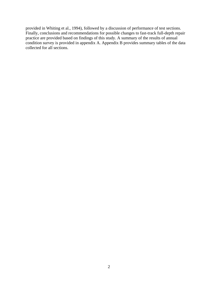provided in Whiting et al., 1994), followed by a discussion of performance of test sections. Finally, conclusions and recommendations for possible changes to fast-track full-depth repair practice are provided based on findings of this study. A summary of the results of annual condition survey is provided in appendix A. Appendix B provides summary tables of the data collected for all sections.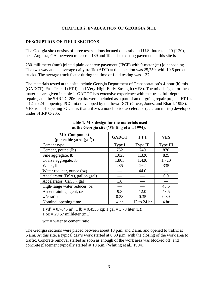### **CHAPTER 2. EVALUATION OF GEORGIA SITE**

### <span id="page-10-0"></span>**DESCRIPTION OF FIELD SECTIONS**

The Georgia site consists of three test sections located on eastbound U.S. Interstate 20 (I-20), near Augusta, GA, between mileposts 189 and 192. The existing pavement at this site is

230-millimeter (mm) jointed plain concrete pavement (JPCP) with 9-meter (m) joint spacing. The two-way annual average daily traffic (ADT) at this location was 25,750, with 19.5 percent trucks. The average truck factor during the time of field testing was 1.37.

The materials tested at this site include Georgia Department of Transportation's 4-hour (h) mix (GADOT), Fast Track I (FT I), and Very-High-Early-Strength (VES). The mix designs for these materials are given in table 1. GADOT has extensive experience with fast-track full-depth repairs, and the SHRP C-206 repairs were included as a part of an on-going repair project. FT I is a 12- to 24-h opening PCC mix developed by the Iowa DOT (Grove, Jones, and Bharil, 1993). VES is a 4-h opening PCC mix that utilizes a nonchloride accelerator (calcium nitrite) developed under SHRP C-205.

| <b>Mix Component</b><br>(per cubic yard $(yd^3)$ ) | <b>GADOT</b>    | <b>FT I</b> | <b>VES</b>      |
|----------------------------------------------------|-----------------|-------------|-----------------|
| Cement type                                        | Type I          | Type III    | Type III        |
| Cement, pound (lb)                                 | 752             | 740         | 870             |
| Fine aggregate, lb                                 | 1,025           | 1,320       | 825             |
| Coarse aggregate, lb                               | 1,805           | 1,420       | 1,720           |
| Water, lb                                          | 285             | 262         | 335             |
| Water reducer, ounce (oz)                          |                 | 44.0        |                 |
| Accelerator (DSA), gallon (gal)                    |                 |             | 6.0             |
| Accelerator (CaCl <sub>2</sub> ), gal              | 1.6             |             |                 |
| High-range water reducer, oz                       |                 |             | 43.5            |
| Air entraining agent, oz                           | 9.8             | 12.0        | 43.5            |
| $w/c$ ratio                                        | 0.38            | 0.35        | 0.39            |
| Nominal opening time.                              | 4 <sup>hr</sup> | 12 to 24 hr | 4 <sup>hr</sup> |

### **Table 1. Mix design for the materials used at the Georgia site (Whiting et al., 1994).**

 $1 \text{ yd}^3 = 0.7645 \text{ m}^3$ ;  $1 \text{ lb} = 0.4535 \text{ kg}$ ;  $1 \text{ gal} = 3.78 \text{ liter (L)}$ ;  $1 oz = 29.57$  millileter (mL)

 $w/c = water$  to cement ratio

The Georgia sections were placed between about 10 p.m. and 2 a.m. and opened to traffic at 6 a.m. At this site, a typical day's work started at 6:30 p.m. with the closing of the work area to traffic. Concrete removal started as soon as enough of the work area was blocked off, and concrete placement typically started at 10 p.m. (Whiting et al., 1994).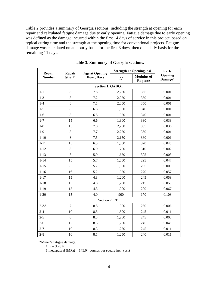<span id="page-11-0"></span>Table 2 provides a summary of Georgia sections, including the strength at opening for each repair and calculated fatigue damage due to early opening. Fatigue damage due to early opening was defined as the damage incurred within the first 14 days of service in this project, based on typical curing time and the strength at the opening time for conventional projects. Fatigue damage was calculated on an hourly basis for the first 3 days, then on a daily basis for the remaining 11 days.

| Repair        | Repair         | <b>Age at Opening</b>   | <b>Strength at Opening, psi</b> | Early                               |                    |
|---------------|----------------|-------------------------|---------------------------------|-------------------------------------|--------------------|
| <b>Number</b> | Size, ft       | <b>Hour, Days</b>       | $f_c'$                          | <b>Modulus of</b><br><b>Rupture</b> | Opening<br>Damage* |
|               |                | <b>Section 1, GADOT</b> |                                 |                                     |                    |
| $1 - 1$       | $8\,$          | 7.8                     | 2,250                           | 365                                 | 0.001              |
| $1 - 3$       | 8              | 7.2                     | 2,050                           | 350                                 | 0.001              |
| $1-4$         | 8              | 7.1                     | 2,050                           | 350                                 | 0.001              |
| $1 - 5$       | 8              | 6.8                     | 1,950                           | 340                                 | 0.001              |
| $1-6$         | 8              | 6.8                     | 1,950                           | 340                                 | 0.001              |
| $1 - 7$       | 15             | 6.6                     | 1,900                           | 330                                 | 0.038              |
| $1 - 8$       | 15             | 7.8                     | 2,250                           | 365                                 | 0.036              |
| $1-9$         | 8              | 7.7                     | 2,250                           | 360                                 | 0.001              |
| $1 - 10$      | 8              | 7.5                     | 2,150                           | 360                                 | 0.001              |
| $1 - 11$      | 15             | 6.3                     | 1,800                           | 320                                 | 0.040              |
| $1 - 12$      | 8              | 6.0                     | 1,700                           | 310                                 | 0.002              |
| $1 - 13$      | 8              | 5.9                     | 1,650                           | 305                                 | 0.003              |
| $1 - 14$      | 15             | 5.7                     | 1,550                           | 295                                 | 0.047              |
| $1 - 15$      | 8              | 5.7                     | 1,550                           | 295                                 | 0.003              |
| $1 - 16$      | 16             | 5.2                     | 1,350                           | 270                                 | 0.057              |
| $1 - 17$      | 15             | 4.8                     | 1,200                           | 245                                 | 0.059              |
| $1 - 18$      | 15             | 4.8                     | 1,200                           | 245                                 | 0.059              |
| $1 - 19$      | 15             | 4.3                     | 1,000                           | 200                                 | 0.067              |
| $1 - 20$      | 15             | 4.0                     | 900                             | 170                                 | 0.103              |
|               |                | Section 2, FT I         |                                 |                                     |                    |
| $2-3A$        | $\overline{7}$ | 8.8                     | 1,300                           | 250                                 | 0.006              |
| $2 - 4$       | 10             | 8.5                     | 1,300                           | 245                                 | 0.011              |
| $2 - 5$       | 6              | 8.3                     | 1,250                           | 245                                 | 0.003              |
| $2 - 6$       | 12             | 8.3                     | 1,250                           | 245                                 | 0.048              |
| $2 - 7$       | 10             | 8.3                     | 1,250                           | 245                                 | 0.011              |
| $2 - 8$       | 10             | 8.1                     | 1,250                           | 240                                 | 0.011              |

**Table 2. Summary of Georgia sections.**

\*Miner's fatigue damage.

 $1 m = 3.28$  ft;

1 megapascal (MPa) = 145.04 pounds per square inch (psi)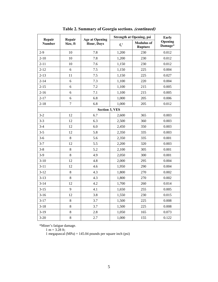| Repair        | Repair         | <b>Age at Opening</b> | <b>Strength at Opening, psi</b> | <b>Early</b>                        |                    |
|---------------|----------------|-----------------------|---------------------------------|-------------------------------------|--------------------|
| <b>Number</b> | Size, ft       | Hour, Days            | $f_c'$                          | <b>Modulus of</b><br><b>Rupture</b> | Opening<br>Damage* |
| $2-9$         | 10             | 7.8                   | 1,200                           | 230                                 | 0.012              |
| $2 - 10$      | 10             | 7.8                   | 1,200                           | 230                                 | 0.012              |
| $2 - 11$      | 10             | 7.6                   | 1,150                           | 230                                 | 0.012              |
| $2 - 12$      | 6              | 7.5                   | 1,150                           | 225                                 | 0.004              |
| $2 - 13$      | 11             | 7.5                   | 1,150                           | 225                                 | 0.027              |
| $2 - 14$      | 6              | 7.3                   | 1,100                           | 220                                 | 0.004              |
| $2 - 15$      | 6              | 7.2                   | 1,100                           | 215                                 | 0.005              |
| $2 - 16$      | 6              | 7.1                   | 1,100                           | 215                                 | 0.005              |
| $2 - 17$      | 6              | 6.8                   | 1,000                           | 205                                 | 0.006              |
| $2 - 18$      | $\overline{7}$ | 6.8                   | 1,000                           | 205                                 | 0.012              |
|               |                | <b>Section 3, VES</b> |                                 |                                     |                    |
| $3 - 2$       | 12             | 6.7                   | 2,600                           | 365                                 | 0.003              |
| $3 - 3$       | 12             | 6.3                   | 2,500                           | 360                                 | 0.003              |
| $3-4$         | 12             | 6.0                   | 2,450                           | 350                                 | 0.003              |
| $3 - 5$       | 12             | 5.8                   | 2,350                           | 335                                 | 0.003              |
| $3 - 6$       | 8              | 5.6                   | 2,350                           | 335                                 | 0.001              |
| $3 - 7$       | 12             | 5.5                   | 2,200                           | 320                                 | 0.003              |
| $3 - 8$       | 8              | 5.2                   | 2,100                           | 305                                 | 0.001              |
| $3-9$         | $8\,$          | 4.9                   | 2,050                           | 300                                 | 0.001              |
| $3-10$        | 12             | 4.8                   | 2,000                           | 295                                 | 0.004              |
| $3 - 11$      | 12             | 4.6                   | 1,950                           | 290                                 | 0.004              |
| $3 - 12$      | $\bf 8$        | 4.3                   | 1,800                           | 270                                 | 0.002              |
| $3 - 13$      | 8              | 4.3                   | 1,800                           | 270                                 | 0.002              |
| $3 - 14$      | 12             | 4.2                   | 1,700                           | 260                                 | 0.014              |
| $3 - 15$      | 9              | 4.1                   | 1,650                           | 255                                 | 0.005              |
| $3 - 16$      | 12             | 3.8                   | 1,550                           | 230                                 | 0.015              |
| $3 - 17$      | 8              | 3.7                   | 1,500                           | 225                                 | 0.008              |
| $3 - 18$      | 8              | 3.7                   | 1,500                           | 225                                 | 0.008              |
| $3-19$        | 8              | 2.8                   | 1,050                           | 165                                 | 0.073              |
| $3 - 20$      | 8              | 2.7                   | 1,000                           | 155                                 | 0.122              |

**Table 2. Summary of Georgia sections. (continued)**

\*Miner's fatigue damage.

1 m =  $3.28$  ft;

1 megapascal (MPa) = 145.04 pounds per square inch (psi)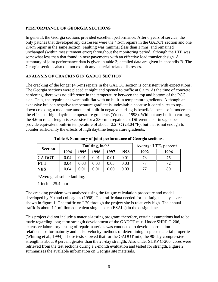### <span id="page-13-0"></span>**PERFORMANCE OF GEORGIA SECTIONS**

In general, the Georgia sections provided excellent performance. After 6 years of service, the only patches that developed any distresses were the 4.6-m repairs in the GADOT section and one 2.4-m repair in the same section. Faulting was minimal (less than 1 mm) and remained unchanged (within measurement error) throughout the monitoring period, although the LTE was somewhat less than that found in new pavements with an effective load transfer design. A summary of joint performance data is given in table 3; detailed data are given in appendix B. The Georgia sections also did not exhibit any material-related distresses.

### **ANALYSIS OF CRACKING IN GADOT SECTION**

The cracking of the longer (4.6-m) repairs in the GADOT section is consistent with expectations. The Georgia sections were placed at night and opened to traffic at 6 a.m. At the time of concrete hardening, there was no difference in the temperature between the top and bottom of the PCC slab. Thus, the repair slabs were built flat with no built-in temperature gradients. Although an excessive built-in negative temperature gradient is undesirable because it contributes to topdown cracking, a moderate amount of built-in negative curling is beneficial because it moderates the effects of high daytime temperature gradients (Yu et al., 1998). Without any built-in curling, the 4.6-m repair length is excessive for a 230-mm repair slab. Differential shrinkage does provide equivalent built-in temperature of about  $-2.2$  °C (28.04 °F), but that is not enough to counter sufficiently the effects of high daytime temperature gradients.

| <b>Section</b> |      |            | Faulting, inch <sup>*</sup> | <b>Average LTE, percent</b> |      |      |      |
|----------------|------|------------|-----------------------------|-----------------------------|------|------|------|
|                | 1994 | 1995       | 1996                        | 1997                        | 1998 | 1992 | 1996 |
| <b>GA DOT</b>  | 0.04 | $\rm 0.01$ | 0.01                        | 0.01                        | 0.01 | 73   | 75   |
| <b>FT I</b>    | 0.04 | 0.03       | 0.03                        | 0.03                        | 0.03 | 77   | 72   |
| <b>VES</b>     | 0.04 | 0.01       | 0.01                        | $0.00\,$                    | 0.03 |      | 80   |

**Table 3. Summary of joint performance of Georgia sections.**

\*Average absolute faulting.

1 inch =  $25.4 \text{ mm}$ 

The cracking problem was analyzed using the fatigue calculation procedure and model developed by Yu and colleagues (1998). The traffic data needed for the fatigue analysis are shown in figure 1. The traffic on I-20 through the project site is relatively high. The annual traffic is about 1.1 million equivalent single axles (ESALs) in the design lane.

This project did not include a material-testing program; therefore, certain assumptions had to be made regarding long-term strength development of the GADOT mix. Under SHRP C-206, extensive laboratory testing of repair materials was conducted to develop correlation relationships for maturity and pulse-velocity methods of determining in-place material properties (Whiting et al., 1994). Those tests showed that for the GADOT mix, the 90-day compressive strength is about 9 percent greater than the 28-day strength. Also under SHRP C-206, cores were retrieved from the test sections during a 2-month evaluation and tested for strength. Figure 2 summarizes the available information on Georgia site materials.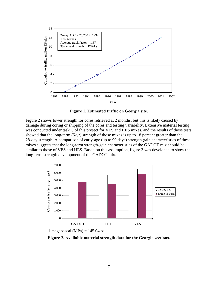<span id="page-14-0"></span>

**Figure 1. Estimated traffic on Georgia site.** 

Figure 2 shows lower strength for cores retrieved at 2 months, but this is likely caused by damage during coring or shipping of the cores and testing variability. Extensive material testing was conducted under task C of this project for VES and HES mixes, and the results of those tests showed that the long-term (5-yr) strength of those mixes is up to 18 percent greater than the 28-day strength. A comparison of early-age (up to 90 days) strength-gain characteristics of these mixes suggests that the long-term strength-gain characteristics of the GADOT mix should be similar to those of VES and HES. Based on this assumption, figure 3 was developed to show the long-term strength development of the GADOT mix.



1 megapascal (MPa) =  $145.04$  psi

**Figure 2. Available material strength data for the Georgia sections.**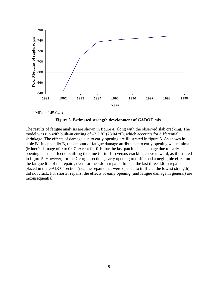<span id="page-15-0"></span>

1 MPa = 145.04 psi



The results of fatigue analysis are shown in figure 4, along with the observed slab cracking. The model was run with built-in curling of  $-2.2$  °C (28.04 °F), which accounts for differential shrinkage. The effects of damage due to early opening are illustrated in figure 5. As shown in table B1 in appendix B, the amount of fatigue damage attributable to early opening was minimal (Miner's damage of 0 to 0.07, except for 0.10 for the last patch). The damage due to early opening has the effect of shifting the time (or traffic) versus cracking curve upward, as illustrated in figure 5. However, for the Georgia sections, early opening to traffic had a negligible effect on the fatigue life of the repairs, even for the 4.6-m repairs. In fact, the last three 4.6-m repairs placed in the GADOT section (i.e., the repairs that were opened to traffic at the lowest strength) did not crack. For shorter repairs, the effects of early opening (and fatigue damage in general) are inconsequential.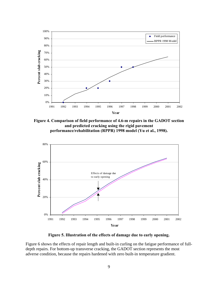<span id="page-16-0"></span>

**Figure 4. Comparison of field performance of 4.6-m repairs in the GADOT section and predicted cracking using the rigid pavement performance/rehabilitation (RPPR) 1998 model (Yu et al., 1998).** 



**Figure 5. Illustration of the effects of damage due to early opening.** 

Figure 6 shows the effects of repair length and built-in curling on the fatigue performance of fulldepth repairs. For bottom-up transverse cracking, the GADOT section represents the most adverse condition, because the repairs hardened with zero built-in temperature gradient.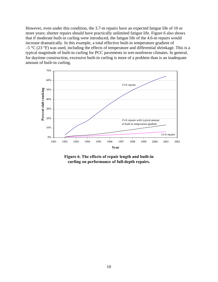<span id="page-17-0"></span>However, even under this condition, the 3.7-m repairs have an expected fatigue life of 10 or more years; shorter repairs should have practically unlimited fatigue life. Figure 6 also shows that if moderate built-in curling were introduced, the fatigue life of the 4.6-m repairs would increase dramatically. In this example, a total effective built-in temperature gradient of  $-5$  °C (23 °F) was used, including the effects of temperature and differential shrinkage. This is a typical magnitude of built-in curling for PCC pavements in wet-nonfreeze climates. In general, for daytime construction, excessive built-in curling is more of a problem than is an inadequate amount of built-in curling.



**Figure 6. The effects of repair length and built-in curling on performance of full-depth repairs.**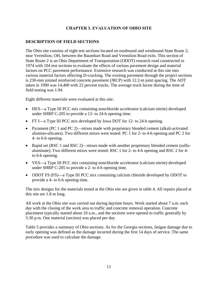### **CHAPTER 3. EVALUATION OF OHIO SITE**

### <span id="page-18-0"></span>**DESCRIPTION OF FIELD SECTIONS**

The Ohio site consists of eight test sections located on eastbound and westbound State Route 2, near Vermilion, OH, between the Baumhart Road and Vermilion Road exits. This section of State Route 2 is an Ohio Department of Transportation (ODOT) research road constructed in 1974 with 104 test sections to evaluate the effects of various pavement design and material factors on PCC pavement performance. Extensive research was conducted at this site into various material factors affecting D-cracking. The existing pavement through the project sections is 230-mm jointed reinforced concrete pavement (JRCP) with 12.2-m joint spacing. The ADT taken in 1990 was 14,400 with 22 percent trucks. The average truck factor during the time of field testing was 1.94.

Eight different materials were evaluated at this site:

- HES—a Type III PCC mix containing nonchloride accelerator (calcium nitrite) developed under SHRP C-205 to provide a 12- to 24-h opening time.
- FT I—a Type III PCC mix developed by Iowa DOT for 12- to 24-h opening.
- Pyrament (PC 1 and PC 2)—mixes made with proprietary blended cement (alkali-activated alumino-silicates). Two different mixes were tested: PC 1 for 2- to 4-h opening and PC 2 for 4- to 6-h opening.
- Rapid set (RSC 1 and RSC 2)—mixes made with another proprietary blended cement (sulfoaluminate). Two different mixes were tested: RSC 1 for 2- to 4-h opening and RSC 2 for 4 to 6-h opening.
- VES—a Type III PCC mix containing nonchloride accelerator (calcium nitrite) developed under SHRP C-205 to provide a 2- to 4-h opening time.
- ODOT FS (FS)—a Type III PCC mix containing calcium chloride developed by ODOT to provide a 4- to 6-h opening time.

The mix designs for the materials tested at the Ohio site are given in table 4. All repairs placed at this site are 1.8 m long.

All work at the Ohio site was carried out during daytime hours. Work started about 7 a.m. each day with the closing of the work area to traffic and concrete removal operation. Concrete placement typically started about 10 a.m., and the sections were opened to traffic generally by 5:30 p.m. One material (section) was placed per day.

Table 5 provides a summary of Ohio sections. As for the Georgia sections, fatigue damage due to early opening was defined as the damage incurred during the first 14 days of service. The same procedure was used to calculate the damage.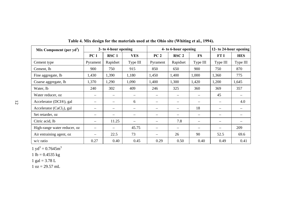| Mix Component (per $y d3$ )  | 2- to 4-hour opening     |                          |                          |                   | 4- to 6-hour opening     | 12- to 24-hour opening   |                          |            |
|------------------------------|--------------------------|--------------------------|--------------------------|-------------------|--------------------------|--------------------------|--------------------------|------------|
|                              | PC <sub>1</sub>          | RSC <sub>1</sub>         | <b>VES</b>               | PC <sub>2</sub>   | RSC <sub>2</sub>         | <b>FS</b>                | FT I                     | <b>HES</b> |
| Cement type                  | Pyrament                 | Rapidset                 | Type III                 | Pyrament          | Rapidset                 | Type III                 | Type III                 | Type III   |
| Cement, lb                   | 900                      | 750                      | 915                      | 850               | 650                      | 900                      | 750                      | 870        |
| Fine aggregate, lb           | 1,430                    | 1,390                    | 1,180                    | 1,450             | 1,400                    | 1,000                    | 1,360                    | 775        |
| Coarse aggregate, lb         | 1,370                    | 1,290                    | 1,090                    | 1,400             | 1,300                    | 1,420                    | 1,200                    | 1,645      |
| Water, lb                    | 240                      | 302                      | 409                      | 246               | 325                      | 360                      | 369                      | 357        |
| Water reducer, oz            | $\qquad \qquad -$        | $\overline{\phantom{m}}$ | $\qquad \qquad -$        | $\qquad \qquad -$ |                          |                          | 45                       |            |
| Accelerator (DCI®), gal      | $\overline{\phantom{m}}$ |                          | 6                        | $\qquad \qquad -$ |                          |                          |                          | 4.0        |
| Accelerator ( $CaCl2$ ), gal | $\qquad \qquad -$        | $\qquad \qquad -$        | $\overline{\phantom{0}}$ |                   |                          | 18                       |                          |            |
| Set retarder, oz             | $\overline{\phantom{m}}$ |                          | —                        | $\qquad \qquad -$ | $\overline{\phantom{0}}$ | $\overline{\phantom{m}}$ | $\qquad \qquad -$        |            |
| Citric acid, lb              | $\qquad \qquad -$        | 11.25                    |                          |                   | 7.8                      |                          | $\qquad \qquad -$        |            |
| High-range water reducer, oz | $\overline{\phantom{m}}$ | $\hspace{0.05cm}$        | 45.75                    |                   |                          |                          | $\overline{\phantom{0}}$ | 209        |
| Air entraining agent, oz     | —                        | 22.5                     | 73                       |                   | 26                       | 90                       | 52.5                     | 69.6       |
| $w/c$ ratio                  | 0.27                     | 0.40                     | 0.45                     | 0.29              | 0.50                     | 0.40                     | 0.49                     | 0.41       |

**Table 4. Mix design for the materials used at the Ohio site (Whiting et al., 1994).**

 $1 \text{ yd}^3 = 0.7645 \text{m}^3$ 

1 lb =  $0.4535$  kg

$$
1 \text{ gal} = 3.78 \text{ L}
$$

<span id="page-19-0"></span> $1 oz = 29.57 mL$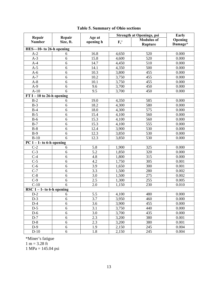<span id="page-20-0"></span>

|                              |            |           | <b>Strength at Openings, psi</b> |                   | Early   |
|------------------------------|------------|-----------|----------------------------------|-------------------|---------|
| Repair<br><b>Number</b>      | Repair     | Age at    |                                  | <b>Modulus of</b> | Opening |
|                              | Size, ft.  | opening h | $F_c'$                           | <b>Rupture</b>    | Damage* |
| HES-10- to 26-h opening      |            |           |                                  |                   |         |
| $A-2$                        | 6          | 16.8      | 4,650                            | 520               | 0.000   |
| $A-3$                        | 6          | 15.8      | 4,600                            | 520               | 0.000   |
| $A-4$                        | 6          | 14.7      | 4,450                            | 510               | 0.000   |
| $A-5$                        | 6          | 14.1      | 4,350                            | 500               | 0.000   |
| $A-6$                        | 6          | 10.3      | 3,800                            | 455               | 0.000   |
| $A-7$                        | 6          | 10.2      | 3,750                            | 455               | 0.000   |
| $A-8$                        | 6          | 10.1      | 3,750                            | 455               | 0.000   |
| $A-9$                        | 6          | 9.6       | 3,700                            | 450               | 0.000   |
| $A-10$                       | 6          | 9.5       | 3,700                            | 450               | 0.000   |
| $FT I - 10$ to 26-h opening  |            |           |                                  |                   |         |
| $B-2$                        | 6          | 19.0      | 4,350                            | 585               | 0.000   |
| $B-3$                        | 6          | 18.2      | 4,300                            | 580               | 0.000   |
| $B-4$                        | 6          | 18.0      | 4,300                            | 575               | 0.000   |
| $B-5$                        | 6          | 15.4      | 4,100                            | 560               | 0.000   |
| $B-6$                        | 6          | 15.3      | 4,100                            | 560               | 0.000   |
| $B-7$                        | 6          | 15.3      | 4,100                            | 555               | 0.000   |
| $B-8$                        | 6          | 12.4      | 3,900                            | 530               | 0.000   |
| $B-9$                        | 6          | 12.3      | 3,850                            | 530               | 0.000   |
| $B-10$                       | 6          | 12.3      | 3,850                            | 530               | 0.000   |
| PC $1 - 1$ - to 6-h opening  |            |           |                                  |                   |         |
| $\overline{C-2}$             | 6          | 5.8       | 1,900                            | $\overline{325}$  | 0.000   |
| $C-3$                        | 6          | 5.2       | 1,850                            | 320               | 0.000   |
| $C-4$                        | 6          | 4.8       | 1,800                            | 315               | 0.000   |
| $C-5$                        | 6          | 4.2       | 1,750                            | 305               | 0.001   |
| $C-6$                        | 6          | 3.9       | 1,650                            | 300               | 0.001   |
| $C-7$                        | 6          | 3.3       | 1,500                            | 280               | 0.002   |
| $C-8$                        | 6          | 3.0       | 1,500                            | 275               | 0.002   |
| $C-9$                        | 6          | 2.5       | 1,300                            | 255               | 0.005   |
| $C-10$                       | 6          | 2.0       | 1,150                            | 230               | 0.010   |
| RSC $1 - 1$ - to 6-h opening |            |           |                                  |                   |         |
| $D-2$                        | 6          | 5.5       | 4,100                            | 480               | 0.000   |
| $D-3$                        | 6          | 3.7       | 3,950                            | 460               | 0.000   |
| $D-4$                        | 6          | 3.6       | 3,900                            | 455               | 0.000   |
| $D-5$                        | 6          | 3.1       | 3,750                            | 440               | 0.000   |
| $D-6$                        | 6          | 3.0       | 3,700                            | 435               | 0.000   |
| $D-7$                        | 6          | 2.3       | 3,200                            | 380               | 0.001   |
| $D-8$                        | $\sqrt{6}$ | 2.3       | 3,200                            | 380               | 0.001   |
| $D-9$                        | $\sqrt{6}$ | 1.9       | 2,150                            | 245               | 0.004   |
| $D-10$                       | 6          | 1.8       | 2,150                            | 245               | 0.004   |

# **Table 5. Summary of Ohio sections**

\*Miner's fatigue  $1 m = 3.28 ft$  $1 MPa = 145.04 psi$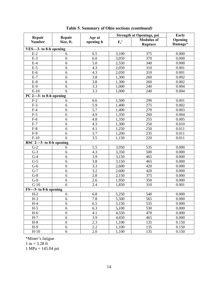|                                               |                     |                     |        | <b>Strength at Openings, psi</b> | Early   |
|-----------------------------------------------|---------------------|---------------------|--------|----------------------------------|---------|
| Repair<br><b>Number</b>                       | Repair<br>Size, ft. | Age at<br>opening h |        | <b>Modulus</b> of                | Opening |
|                                               |                     |                     | $F_c'$ | <b>Rupture</b>                   | Damage* |
| VES-3- to 8-h opening                         |                     |                     |        |                                  |         |
| $E-2$                                         | 6                   | 6.5                 | 3,100  | 375                              | 0.000   |
| $E-3$                                         | 6                   | 6.0                 | 3,050  | 370                              | 0.000   |
| $E-4$                                         | 6                   | 5.0                 | 2,550  | 340                              | 0.000   |
| $E-5$                                         | 6                   | 4.3                 | 2,050  | 310                              | 0.001   |
| $E-6$                                         | 6                   | $4.\overline{3}$    | 2,050  | 310                              | 0.001   |
| $E-7$                                         | 6                   | 3.8                 | 1,300  | 260                              | 0.002   |
| $E-8$                                         | 6                   | 3.8                 | 1,300  | 260                              | 0.002   |
| $E-9$                                         | 6                   | 3.3                 | 1,000  | 240                              | 0.004   |
| $E-10$                                        | 6                   | 3.3                 | 1,000  | 240                              | 0.004   |
| PC 2-3-to 8-h opening                         |                     |                     |        |                                  |         |
| $F-2$                                         | 6                   | 6.6                 | 1,500  | 290                              | 0.001   |
| $F-3$                                         | 6                   | 5.9                 | 1,400  | 275                              | 0.002   |
| $F-4$                                         | 6                   | 5.7                 | 1,400  | 270                              | 0.003   |
| $F-5$                                         | 6                   | 4.9                 | 1,350  | 260                              | 0.004   |
| $F-6$                                         | 6                   | 4.8                 | 1,350  | 255                              | 0.005   |
| $F-7$                                         | 6                   | 4.3                 | 1,300  | 250                              | 0.010   |
| $F-8$                                         | 6                   | 4.1                 | 1,250  | 250                              | 0.011   |
| $F-9$                                         | 6                   | 3.7                 | 1,200  | 235                              | 0.011   |
| $F-10$                                        | 6                   | 3.5                 | 1,150  | 220                              | 0.011   |
| $\overline{\mathrm{RSC}}$ 2-3- to 8-h opening |                     |                     |        |                                  |         |
| $G-2$                                         | 6                   | 5.5                 | 3,950  | 535                              | 0.000   |
| $G-3$                                         | 6                   | 4.3                 | 3,350  | 500                              | 0.000   |
| $G-4$                                         | 6                   | 3.9                 | 3,150  | 465                              | 0.000   |
| $G-5$                                         | 6                   | 3.8                 | 3,150  | 465                              | 0.000   |
| $G-6$                                         | 6                   | 3.3                 | 2,600  | 420                              | 0.000   |
| $G-7$                                         | 6                   | 3.2                 | 2,600  | 420                              | 0.000   |
| $G-8$                                         | 6                   | 2.8                 | 2,150  | 375                              | 0.000   |
| $G-9$                                         | 6                   | 2.6                 | 1,950  | 350                              | 0.000   |
| $G-10$                                        | 6                   | 2.4                 | 1,850  | 310                              | 0.001   |
| FS-3- to 8-h opening                          |                     |                     |        |                                  |         |
| $H-2$                                         | $\boldsymbol{6}$    | 6.8                 | 5,250  | 540                              | 0.000   |
| $H-3$                                         | $\overline{6}$      | 7.8                 | 5,500  | 565                              | 0.000   |
| $H-4$                                         | $\sqrt{6}$          | 6.5                 | 5,150  | 535                              | 0.000   |
| $H-5$                                         | $\sqrt{6}$          | 6.3                 | 5,100  | 530                              | 0.000   |
| $H-6$                                         | 6                   | 4.1                 | 4,550  | 470                              | 0.000   |
| $H-7$                                         | $\sqrt{6}$          | 3.9                 | 4,450  | 465                              | 0.000   |
| $H-8$                                         | $\sqrt{6}$          | 2.3                 | 1,100  | 135                              | 0.150   |
| $H-9$                                         | $\sqrt{6}$          | 2.2                 | 1,100  | 135                              | 0.150   |
| $H-10$                                        | $\sqrt{6}$          | 2.0                 | 1,100  | 135                              | 0.150   |

|  |  |  | Table 5. Summary of Ohio sections <i>(continued)</i> |
|--|--|--|------------------------------------------------------|
|  |  |  |                                                      |

\*Miner's fatigue  $1 m = 3.28 ft$  $1 MPa = 145.04 psi$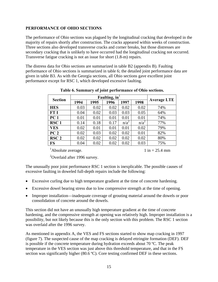### <span id="page-22-0"></span>**PERFORMANCE OF OHIO SECTIONS**

The performance of Ohio sections was plagued by the longitudinal cracking that developed in the majority of repairs shortly after construction. The cracks appeared within weeks of construction. Three sections also developed transverse cracks and corner breaks, but those distresses are secondary cracking that is unlikely to have occurred had the longitudinal cracking not occurred. Transverse fatigue cracking is not an issue for short (1.8-m) repairs.

The distress data for Ohio sections are summarized in table B2 (appendix B). Faulting performance of Ohio sections is summarized in table 6; the detailed joint performance data are given in table B3. As with the Georgia sections, all Ohio sections gave excellent joint performance except for RSC 1, which developed excessive faulting.

| <b>Section</b>   |      |      | Faulting, $in1$ |         |         | <b>Average LTE</b> |  |  |
|------------------|------|------|-----------------|---------|---------|--------------------|--|--|
|                  | 1994 | 1995 | 1996            | 1997    | 1998    |                    |  |  |
| <b>HES</b>       | 0.03 | 0.02 | 0.02            | 0.02    | 0.02    | 74%                |  |  |
| <b>FT I</b>      | 0.04 | 0.02 | 0.03            | 0.03    | 0.05    | 64%                |  |  |
| PC <sub>1</sub>  | 0.01 | 0.01 | 0.01            | 0.01    | 0.01    | 74%                |  |  |
| RSC <sub>1</sub> | 0.14 | 0.18 | 0.17            | $n/a^2$ | $n/a^2$ | 77%                |  |  |
| <b>VES</b>       | 0.02 | 0.01 | 0.01            | 0.01    | 0.02    | 79%                |  |  |
| PC <sub>2</sub>  | 0.02 | 0.03 | 0.02            | 0.02    | 0.01    | 82%                |  |  |
| RSC <sub>2</sub> | 0.02 | 0.02 | 0.02            | 0.02    | 0.02    | 80%                |  |  |
| <b>FS</b>        | 0.04 | 0.02 | 0.02            | 0.02    | 0.03    | 75%                |  |  |

**Table 6. Summary of joint performance of Ohio sections.** 

<sup>1</sup>Absolute average.  $1 \text{ in } = 25.4 \text{ mm}$ 

 $2$ Overlaid after 1996 survey.

The unusually poor joint performance RSC 1 section is inexplicable. The possible causes of excessive faulting in doweled full-depth repairs include the following:

- Excessive curling due to high temperature gradient at the time of concrete hardening.
- Excessive dowel bearing stress due to low compressive strength at the time of opening.
- Improper installation—inadequate coverage of grouting material around the dowels or poor consolidation of concrete around the dowels.

This section did not have an unusually high temperature gradient at the time of concrete hardening, and the compressive strength at opening was relatively high. Improper installation is a possibility, but not likely because this is the only section with this problem. The RSC 1 section was overlaid after the 1996 survey.

As mentioned in appendix A, the VES and FS sections started to show map cracking in 1997 (figure 7). The suspected cause of the map cracking is delayed ettringite formation (DEF). DEF is possible if the concrete temperature during hydration exceeds about 70 ºC. The peak temperature in the VES section was just above this threshold temperature, and that in the FS section was significantly higher (80.6 °C). Core testing confirmed DEF in these sections.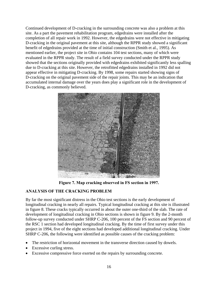<span id="page-23-0"></span>Continued development of D-cracking in the surrounding concrete was also a problem at this site. As a part the pavement rehabilitation program, edgedrains were installed after the completion of all repair work in 1992. However, the edgedrains were not effective in mitigating D-cracking in the original pavement at this site, although the RPPR study showed a significant benefit of edgedrains provided at the time of initial construction (Smith et al., 1995). As mentioned earlier, the project site in Ohio contains 104 test sections, many of which were evaluated in the RPPR study. The result of a field survey conducted under the RPPR study showed that the sections originally provided with edgedrains exhibited significantly less spalling due to D-cracking at this site. However, the retrofitted edgedrains installed in 1992 did not appear effective in mitigating D-cracking. By 1998, some repairs started showing signs of D-cracking on the original pavement side of the repair joints. This may be an indication that accumulated internal damage over the years does play a significant role in the development of D-cracking, as commonly believed.



**Figure 7. Map cracking observed in FS section in 1997.** 

# **ANALYSIS OF THE CRACKING PROBLEM**

By far the most significant distress in the Ohio test sections is the early development of longitudinal cracking in nearly all repairs. Typical longitudinal cracking at this site is illustrated in figure 8. These cracks typically occurred in about the outer one-third of the slab. The rate of development of longitudinal cracking in Ohio sections is shown in figure 9. By the 2-month follow-up survey conducted under SHRP C-206, 100 percent of the FS section and 90 percent of the RSC 1 section had developed longitudinal cracking. By the time of first survey under this project in 1994, five of the eight sections had developed additional longitudinal cracking. Under SHRP C-206, the following were identified as possible causes of the cracking problem:

- The restriction of horizontal movement in the transverse direction caused by dowels.
- Excessive curling stress.
- Excessive compressive force exerted on the repairs by surrounding concrete.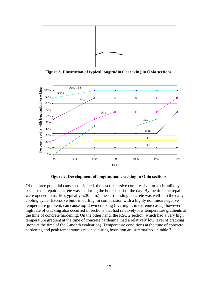<span id="page-24-0"></span>

**Figure 8. Illustration of typical longitudinal cracking in Ohio sections.** 



**Figure 9. Development of longitudinal cracking in Ohio sections.** 

Of the three potential causes considered, the last (excessive compressive force) is unlikely, because the repair concrete was set during the hottest part of the day. By the time the repairs were opened to traffic (typically 5:30 p.m.), the surrounding concrete was well into the daily cooling cycle. Excessive built-in curling, in combination with a highly nonlinear negative temperature gradient, can cause top-down cracking (overnight, in extreme cases); however, a high rate of cracking also occurred in sections that had relatively low temperature gradients at the time of concrete hardening. On the other hand, the RSC 2 section, which had a very high temperature gradient at the time of concrete hardening, had a relatively low level of cracking (none at the time of the 2-month evaluation). Temperature conditions at the time of concrete hardening and peak temperatures reached during hydration are summarized in table 7.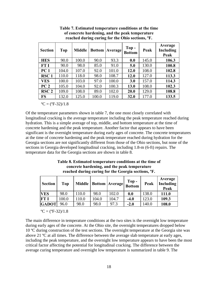<span id="page-25-0"></span>

| <b>Section</b>   | Top   | <b>Middle</b> | <b>Bottom</b> | Average | $Top -$<br><b>Bottom</b> | Peak  | Average<br>Including<br>Peak |
|------------------|-------|---------------|---------------|---------|--------------------------|-------|------------------------------|
| <b>HES</b>       | 90.0  | 100.0         | 90.0          | 93.3    | 0.0                      | 145.0 | 106.3                        |
| FT I             | 90.0  | 98.0          | 85.0          | 91.0    | 5.0                      | 130.0 | 100.8                        |
| PC <sub>1</sub>  | 104.0 | 107.0         | 92.0          | 101.0   | 12.0                     | 108.0 | 102.8                        |
| RSC <sub>1</sub> | 110.0 | 118.0         | 98.0          | 108.7   | 12.0                     | 127.0 | 113.3                        |
| <b>VES</b>       | 100.0 | 103.0         | 97.0          | 100.0   | 3.0                      | 157.0 | 114.3                        |
| PC <sub>2</sub>  | 105.0 | 104.0         | 92.0          | 100.3   | 13.0                     | 108.0 | 102.3                        |
| RSC <sub>2</sub> | 109.0 | 108.0         | 89.0          | 102.0   | <b>20.0</b>              | 129.0 | 108.8                        |
| <b>FS</b>        | 132.0 | 125.0         | 100.0         | 119.0   | 32.0                     | 177.0 | 133.5                        |

**Table 7. Estimated temperature conditions at the time of concrete hardening, and the peak temperature reached during curing for the Ohio sections, ºF.**

 $^{\circ}C = (^{\circ}F - 32)/1.8$ 

Of the temperature parameters shown in table 7, the one most closely correlated with longitudinal cracking is the average temperature including the peak temperature reached during hydration. This is a simple average of top, middle, and bottom temperature at the time of concrete hardening and the peak temperature. Another factor that appears to have been significant is the overnight temperature during early ages of concrete. The concrete temperatures at the time of concrete hardening and the peak temperature reached during hydration for the Georgia sections are not significantly different from those of the Ohio sections, but none of the sections in Georgia developed longitudinal cracking, including 1.8-m (6-ft) repairs. The temperature data for the Georgia sections are shown in table 8.

**Table 8. Estimated temperature conditions at the time of concrete hardening, and the peak temperature reached during curing for the Georgia sections, ºF.**

| <b>Section</b> | Top   |       | Middle   Bottom   Average   $\frac{1}{\text{Bottom}}$   $\frac{1}{\text{Bottom}}$ |       | Top-   | Peak  | Average<br><b>Including</b><br>Peak |
|----------------|-------|-------|-----------------------------------------------------------------------------------|-------|--------|-------|-------------------------------------|
| <b>VES</b>     | 98.0  | 110.0 | 98.0                                                                              | 102.0 | 0.0    | 138.0 | 111.0                               |
| <b>FT I</b>    | 100.0 | 110.0 | 104.0                                                                             | 104.7 | $-4.0$ | 123.0 | 109.3                               |
| <b>GADOT</b>   | 96.0  | 98.0  | 98.0                                                                              | 97.3  | $-2.0$ | 140.0 | 108.0                               |

 $^{\circ}C = (^{\circ}F - 32)/1.8$ 

The main difference in temperature conditions at the two sites is the overnight low temperature during early ages of the concrete. At the Ohio site, the overnight temperatures dropped below 10 ºC during construction of the test sections. The overnight temperature at the Georgia site was above 21 ºC at all times. The difference between the average slab temperature at early ages, including the peak temperature, and the overnight low temperature appears to have been the most critical factor affecting the potential for longitudinal cracking. The difference between the average curing temperature and overnight low temperature is summarized in table 9. The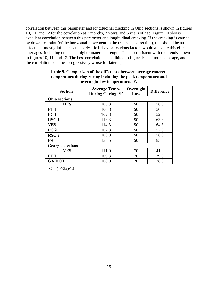<span id="page-26-0"></span>correlation between this parameter and longitudinal cracking in Ohio sections is shown in figures 10, 11, and 12 for the correlation at 2 months, 2 years, and 6 years of age. Figure 10 shows excellent correlation between this parameter and longitudinal cracking. If the cracking is caused by dowel restraint (of the horizontal movement in the transverse direction), this should be an effect that mostly influences the early-life behavior. Various factors would alleviate this effect at later ages, including creep and higher material strength. This is consistent with the trends shown in figures 10, 11, and 12. The best correlation is exhibited in figure 10 at 2 months of age, and the correlation becomes progressively worse for later ages.

| <b>Section</b>          | <b>Average Temp.</b><br>During Curing, <sup>o</sup> F | Overnight<br>Low | <b>Difference</b> |
|-------------------------|-------------------------------------------------------|------------------|-------------------|
| <b>Ohio sections</b>    |                                                       |                  |                   |
| <b>HES</b>              | 106.3                                                 | 50               | 56.3              |
| FT I                    | 100.8                                                 | 50               | 50.8              |
| PC <sub>1</sub>         | 102.8                                                 | 50               | 52.8              |
| RSC <sub>1</sub>        | 113.3                                                 | 50               | 63.3              |
| <b>VES</b>              | 114.3                                                 | 50               | 64.3              |
| PC <sub>2</sub>         | 102.3                                                 | 50               | 52.3              |
| RSC <sub>2</sub>        | 108.8                                                 | 50               | 58.8              |
| <b>FS</b>               | 133.5                                                 | 50               | 83.5              |
| <b>Georgia</b> sections |                                                       |                  |                   |
| <b>VES</b>              | 111.0                                                 | 70               | 41.0              |
| <b>FT I</b>             | 109.3                                                 | 70               | 39.3              |
| <b>GA DOT</b>           | 108.0                                                 | 70               | 38.0              |

### **Table 9. Comparison of the difference between average concrete temperature during curing including the peak temperature and overnight low temperature, ºF.**

 $^{\circ}C = (^{\circ}F - 32)/1.8$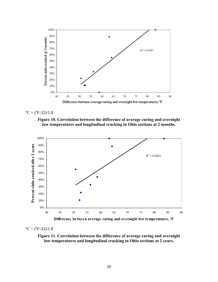<span id="page-27-0"></span>



**Figure 10. Correlation between the difference of average curing and overnight low temperatures and longitudinal cracking in Ohio sections at 2 months.** 



**Difference between average curing and overnight low temperatures, ºF**

 $^{\circ}C = (^{\circ}F - 32)/1.8$ 

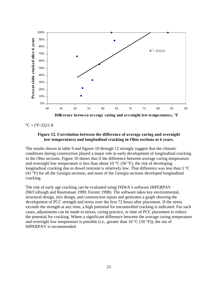<span id="page-28-0"></span>

 $^{\circ}C = (^{\circ}F - 32)/1.8$ 

### **Figure 12. Correlation between the difference of average curing and overnight low temperatures and longitudinal cracking in Ohio sections at 6 years.**

The results shown in table 9 and figures 10 through 12 strongly suggest that the climatic conditions during construction played a major role in early development of longitudinal cracking in the Ohio sections. Figure 10 shows that if the difference between average curing temperature and overnight low temperature is less than about 10  $^{\circ}$ C (50  $^{\circ}$ F), the risk of developing longitudinal cracking due to dowel restraint is relatively low. That difference was less than 5 °C (41 °F) for all the Georgia sections, and none of the Georgia sections developed longitudinal cracking.

The risk of early age cracking can be evaluated using FHWA's software HIPERPAV (McCullough and Rasmussan 1999; Forster 1998). The software takes key environmental, structural design, mix design, and construction inputs and generates a graph showing the development of PCC strength and stress over the first 72 hours after placement. If the stress exceeds the strength at any time, a high potential for uncontrolled cracking is indicated. For such cases, adjustments can be made to mixes, curing practice, or time of PCC placement to reduce the potential for cracking. Where a significant difference between the average curing temperature and overnight low temperature is possible (i.e., greater than  $10^{\circ}$ C (50  $^{\circ}$ F)), the use of HIPERPAV is recommended.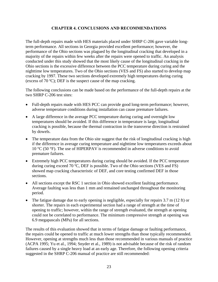### **CHAPTER 4. CONCLUSIONS AND RECOMMENDATIONS**

<span id="page-30-0"></span>The full-depth repairs made with HES materials placed under SHRP C-206 gave variable longterm performance. All sections in Georgia provided excellent performance; however, the performance of the Ohio sections was plagued by the longitudinal cracking that developed in a majority of the repairs within few weeks after the repairs were opened to traffic. An analysis conducted under this study showed that the most likely cause of the longitudinal cracking in the Ohio sections is the excessive difference between the PCC temperature during curing and the nighttime low temperatures. Two of the Ohio sections (VES and FS) also started to develop map cracking by 1997. These two sections developed extremely high temperatures during curing (excess of 70 ºC); DEF is the suspect cause of the map cracking.

The following conclusions can be made based on the performance of the full-depth repairs at the two SHRP C-206 test sites:

- Full-depth repairs made with HES PCC can provide good long-term performance; however, adverse temperature conditions during installation can cause premature failures.
- A large difference in the average PCC temperature during curing and overnight low temperatures should be avoided. If this difference in temperature is large, longitudinal cracking is possible, because the thermal contraction in the transverse direction is restrained by dowels.
- The temperature data from the Ohio site suggest that the risk of longitudinal cracking is high if the difference in average curing temperature and nighttime low temperatures exceeds about 10 °C (50 °F). The use of HIPERPAV is recommended in adverse conditions to avoid premature failures.
- Extremely high PCC temperatures during curing should be avoided. If the PCC temperature during curing exceed 70 ºC, DEF is possible. Two of the Ohio sections (VES and FS) showed map cracking characteristic of DEF, and core testing confirmed DEF in those sections.
- All sections except the RSC 1 section in Ohio showed excellent faulting performance. Average faulting was less than 1 mm and remained unchanged throughout the monitoring period.
- The fatigue damage due to early opening is negligible, especially for repairs 3.7 m (12 ft) or shorter. The repairs in each experimental section had a range of strength at the time of opening to traffic; however, within the range of strength evaluated, the strength at opening could not be correlated to performance. The minimum compressive strength at opening was 6.9 megapascals (MPa) for all sections.

The results of this evaluation showed that in terms of fatigue damage or faulting performance, the repairs could be opened to traffic at much lower strengths than those typically recommended. However, opening at strengths much less than those recommended in various manuals of practice (ACPA 1995; Yu et al., 1994; Snyder et al., 1989) is not advisable because of the risk of random failures caused by a single heavy load at an early age. Therefore, the following opening criteria suggested in the SHRP C-206 manual of practice are still recommended: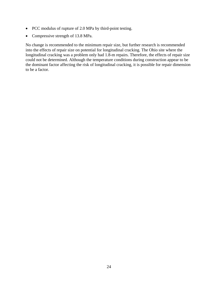- PCC modulus of rupture of 2.0 MPa by third-point testing.
- Compressive strength of 13.8 MPa.

No change is recommended to the minimum repair size, but further research is recommended into the effects of repair size on potential for longitudinal cracking. The Ohio site where the longitudinal cracking was a problem only had 1.8-m repairs. Therefore, the effects of repair size could not be determined. Although the temperature conditions during construction appear to be the dominant factor affecting the risk of longitudinal cracking, it is possible for repair dimension to be a factor.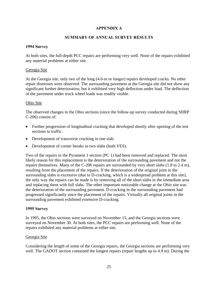### **APPENDIX A**

### **SUMMARY OF ANNUAL SURVEY RESULTS**

#### <span id="page-32-0"></span>**1994 Survey**

At both sites, the full-depth PCC repairs are performing very well. None of the repairs exhibited any material problems at either site.

#### Georgia Site

At the Georgia site, only two of the long (4.6-m or longer) repairs developed cracks. No other repair distresses were observed. The surrounding pavement at the Georgia site did not show any significant further deterioration, but it exhibited very high deflection under load. The deflection of the pavement under truck wheel loads was readily visible.

#### Ohio Site

The observed changes in the Ohio sections (since the follow-up survey conducted during SHRP C-206) consist of:

- Further progression of longitudinal cracking that developed shortly after opening of the test sections to traffic.
- Development of transverse cracking in one slab.
- Development of corner breaks in two slabs (both VES).

Two of the repairs in the Pyrament 1 section (PC 1) had been removed and replaced. The most likely reason for this replacement is the deterioration of the surrounding pavement and not the repairs themselves. Many of the C-206 repairs are surrounded by very short slabs (1.8 to 2.4 m), resulting from the placement of the repairs. If the deterioration of the original joint in the surrounding slabs is excessive (due to D-cracking, which is a widespread problem at this site), the only way the repairs can be made is by removing all of the short slabs in the immediate area and replacing them with full slabs. The other important noticeable change at the Ohio site was the deterioration of the surrounding pavement. D-cracking in the surrounding pavement had progressed significantly since the placement of the repairs. Virtually all original joints in the surrounding pavement exhibited extensive D-cracking.

#### **1995 Survey**

In 1995, the Ohio sections were surveyed on November 15, and the Georgia sections were surveyed on November 30. At both sites, the PCC repairs are performing well. None of the repairs exhibited any material problems at either site.

#### Georgia Site

Considering the length of some of the Georgia repairs, the Georgia sections are performing very well. The GADOT section contained the longest repairs (repair lengths up to 4.9 m). During the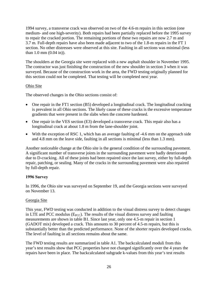1994 survey, a transverse crack was observed on two of the 4.6-m repairs in this section (one medium- and one high-severity). Both repairs had been partially replaced before the 1995 survey to repair the cracked portion. The remaining portions of these two repairs are now 2.7 m and 3.7 m. Full-depth repairs have also been made adjacent to two of the 1.8-m repairs in the FT 1 section. No other distresses were observed at this site. Faulting in all sections was minimal (less than 1.0 mm (0.04 in)).

The shoulders at the Georgia site were replaced with a new asphalt shoulder in November 1995. The contractor was just finishing the construction of the new shoulder in section 3 when it was surveyed. Because of the construction work in the area, the FWD testing originally planned for this section could not be completed. That testing will be completed next year.

### Ohio Site

The observed changes in the Ohio sections consist of:

- One repair in the FT1 section (B5) developed a longitudinal crack. The longitudinal cracking is prevalent in all Ohio sections. The likely cause of these cracks is the excessive temperature gradients that were present in the slabs when the concrete hardened.
- One repair in the VES section (E3) developed a transverse crack. This repair also has a longitudinal crack at about 1.8 m from the lane-shoulder joint.
- With the exception of RSC 1, which has an average faulting of -4.6 mm on the approach side and 4.8 mm on the leave side, faulting in all sections is minimal (less than 1.3 mm).

Another noticeable change at the Ohio site is the general condition of the surrounding pavement. A significant number of transverse joints in the surrounding pavement were badly deteriorated due to D-cracking. All of these joints had been repaired since the last survey, either by full-depth repair, patching, or sealing. Many of the cracks in the surrounding pavement were also repaired by full-depth repair.

### **1996 Survey**

In 1996, the Ohio site was surveyed on September 19, and the Georgia sections were surveyed on November 13.

### Georgia Site

This year, FWD testing was conducted in addition to the visual distress survey to detect changes in LTE and PCC modulus ( $E_{PCC}$ ). The results of the visual distress survey and faulting measurements are shown in table B1. Since last year, only one 4.5-m repair in section 1 (GADOT mix) developed a crack. This amounts to 30 percent of 4.5-m repairs, but this is substantially better than the predicted performance. None of the shorter repairs developed cracks. The level of faulting in all sections remains about the same.

The FWD testing results are summarized in table A1. The backcalculated moduli from this year's test results show that PCC properties have not changed significantly over the 4 years the repairs have been in place. The backcalculated subgrade k-values from this year's test results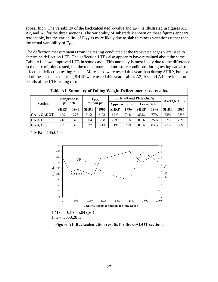<span id="page-34-0"></span>appear high. The variability of the backcalculated k-value and  $E_{PCC}$  is illustrated in figures A1, A2, and A3 for the three sections. The variability of subgrade k shown on these figures appears reasonable, but the variability of  $E_{PCC}$  is more likely due to slab thickness variations rather than the actual variability of  $E_{PCC}$ .

The deflection measurements from the testing conducted at the transverse edges were used to determine deflection LTE. The deflection LTEs also appear to have remained about the same. Table A1 shows improved LTE in some cases. This anomaly is most likely due to the difference in the mix of joints tested, but the temperature and moisture conditions during testing can also affect the deflection testing results. More slabs were tested this year than during SHRP, but not all of the slabs tested during SHRP were tested this year. Tables A2, A3, and A4 provide more details of the LTE testing results.

| <b>Section</b>     |             | Subgrade k<br>psi/inch |             | $E_{PCC}$<br>million psi |             | <b>Approach Side</b> | LTE w/Load Plate On, %<br><b>Leave Side</b> |      | <b>Average LTE</b> |      |  |  |
|--------------------|-------------|------------------------|-------------|--------------------------|-------------|----------------------|---------------------------------------------|------|--------------------|------|--|--|
|                    | <b>SHRP</b> | 1996                   | <b>SHRP</b> | 1996                     | <b>SHRP</b> | 1996                 | <b>SHRP</b>                                 | 1996 | <b>SHRP</b>        | 1996 |  |  |
| <b>GA 1, GADOT</b> | -99         | 275                    | 6.12        | 6.03                     | 62%         | 74%                  | 83%                                         | 77%  | 73%                | 75%  |  |  |
| $GA$ 2, FT1        | 218         | 328                    | 5.64        | 5.38                     | 72%         | 70%                  | 81%                                         | 75%  | 77%                | 72%  |  |  |
| GA 3, VES          | 299         | 309                    | 5.27        | 5.13                     | 71%         | 76%                  | 84%                                         | 84%  | 77%                | 80%  |  |  |

**Table A1. Summary of Falling Weight Deflectometer test results.**

1 MPa =  $145.04$  psi



 $1 MPa = 6.89.45.04$  (psi)  $1 m = .3053.28$  ft

**Figure A1. Backcalculation results for the GADOT section.**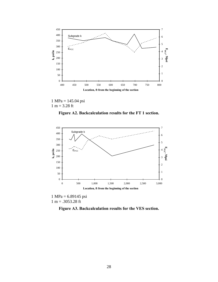<span id="page-35-0"></span>

1 MPa = 145.04 psi  $1 m = 3.28 ft$ 

**Figure A2. Backcalculation results for the FT 1 section.** 



1 MPa = 6.89145 psi  $1 m = .3053.28$  ft

**Figure A3. Backcalculation results for the VES section.**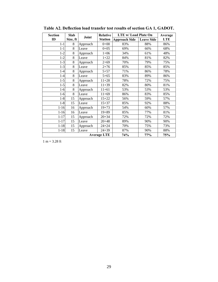| <b>Section</b> | Slab     |          | <b>Relative</b>    | <b>LTE w/ Load Plate On</b> |                   | Average    |  |  |
|----------------|----------|----------|--------------------|-----------------------------|-------------------|------------|--|--|
| ID             | Size, ft | Joint    | <b>Station</b>     | <b>Approach Side</b>        | <b>Leave Side</b> | <b>LTE</b> |  |  |
| $1 - 1$        | 8        | Approach | $0 + 00$           | 83%                         | 88%               | 86%        |  |  |
| $1 - 1$        | 8        | Leave    | $0 + 05$           | 69%                         | 66%               | 68%        |  |  |
| $1 - 2$        | 8        | Approach | $1+06$             | 34%                         | 61%               | 48%        |  |  |
| $1 - 2$        | 8        | Leave    | $1+22$             | 84%                         | 81%               | 82%        |  |  |
| $1 - 3$        | 8        | Approach | $2 + 69$           | 70%                         | 79%               | 75%        |  |  |
| $1 - 3$        | 8        | Leave    | $2 + 76$           | 85%                         | 85%               | 85%        |  |  |
| $1 - 4$        | 8        | Approach | $5 + 57$           | 71%                         | 86%               | 78%        |  |  |
| $1 - 4$        | 8        | Leave    | $5 + 65$           | 83%                         | 89%               | 86%        |  |  |
| $1 - 5$        | 8        | Approach | $11 + 28$          | 78%                         | 72%               | 75%        |  |  |
| $1 - 5$        | 8        | Leave    | $11 + 39$          | 82%                         | 80%               | 81%        |  |  |
| $1-6$          | 8        | Approach | $11 + 61$          | 53%                         | 53%               | 53%        |  |  |
| $1-6$          | 8        | Leave    | $11 + 69$<br>86%   |                             | 83%               | 85%        |  |  |
| $1 - 8$        | 15       | Approach | $15 + 22$          | 56%                         | 59%               | 57%        |  |  |
| $1 - 8$        | 15       | Leave    | $15 + 37$          | 85%                         | 92%               | 88%        |  |  |
| $1 - 16$       | 16       | Approach | $19 + 73$          | 54%                         | 60%               | 57%        |  |  |
| $1 - 16$       | 16       | Leave    | $19 + 89$          | 85%                         | 77%               | 81%        |  |  |
| $1 - 17$       | 15       | Approach | $20 + 34$          | 72%                         | 72%               | 72%        |  |  |
| $1 - 17$       | 15       | Leave    | $20 + 48$          | 89%                         | 90%               | 90%        |  |  |
| $1 - 18$       | 15       | Approach | $24 + 24$          | 70%                         | 75%               | 73%        |  |  |
| $1 - 18$       | 15       | Leave    | $24 + 39$          | 87%                         | 90%               | 88%        |  |  |
|                |          |          | <b>Average LTE</b> | 74%                         | 77%               | 75%        |  |  |

<span id="page-36-0"></span>**Table A2. Deflection load transfer test results of section GA 1, GADOT.**

 $1 m = 3.28 ft$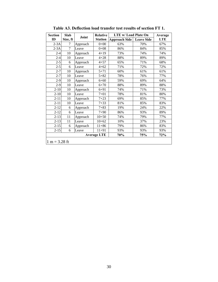<span id="page-37-0"></span>

| <b>Section</b>  | <b>Slab</b>    |          | <b>Relative</b>    | <b>LTE w/ Load Plate On</b> |                   | Average    |
|-----------------|----------------|----------|--------------------|-----------------------------|-------------------|------------|
| ID              | Size, ft       | Joint    | <b>Station</b>     | <b>Approach Side</b>        | <b>Leave Side</b> | <b>LTE</b> |
| $2-3A$          | 7              | Approach | $0 + 00$           | 63%                         | 70%               | 67%        |
| $2-3A$          | $\overline{7}$ | Leave    | $0 + 08$           | 86%                         | 84%               | 85%        |
| $2 - 4$         | 10             | Approach | $4 + 19$           | 73%                         | 74%               | 74%        |
| $2 - 4$         | 10             | Leave    | $4 + 28$           | 88%                         | 89%               | 89%        |
| $2 - 5$         | 6              | Approach | $4 + 57$           | 65%                         | 71%               | 68%        |
| $2 - 5$         | 6              | Leave    | $4 + 62$           | 71%                         | 72%               | 72%        |
| $2 - 7$         | 10             | Approach | $5 + 71$           | 60%                         | 61%               | 61%        |
| $2 - 7$         | 10             | Leave    | $5 + 82$           | 78%                         | 76%               | 77%        |
| $2-9$           | 10             | Approach | $6 + 60$           | 59%                         | 69%               | 64%        |
| $2-9$           | 10             | Leave    | $6 + 70$           | 88%                         | 89%               | 88%        |
| $2 - 10$        | 10             | Approach | $6 + 91$           | 74%                         | 71%               | 73%        |
| $2 - 10$        | 10             | Leave    | $7 + 01$           | 78%                         | 81%               | 80%        |
| $2 - 11$        | 10             | Approach | $7 + 23$           | 69%                         | 85%               | 77%        |
| $2 - 11$        | 10             | Leave    | $7 + 33$           | 81%                         | 85%               | 83%        |
| $2 - 12$        | 6              | Approach | $7 + 83$           | 19%                         | 24%               | 22%        |
| $2 - 12$        | 6              | Leave    | $7 + 90$           | 86%                         | 93%               | 89%        |
| $2 - 13$        | 11             | Approach | $10 + 50$          | 74%                         | 79%               | 77%        |
| $2 - 13$        | 11             | Leave    | $10 + 62$          | 10%                         | 37%               | 23%        |
| $2 - 15$        | 6              | Approach | $11 + 86$          | 79%                         | 86%               | 83%        |
| $2 - 15$        | 6              | Leave    | $11 + 91$          | 93%                         | 93%               | 93%        |
|                 |                |          | <b>Average LTE</b> | 70%                         | 75%               | 72%        |
| $1 m = 3.28 ft$ |                |          |                    |                             |                   |            |

**Table A3. Deflection load transfer test results of section FT 1.**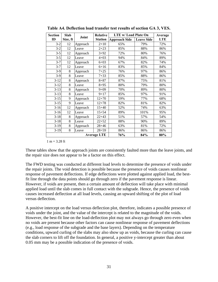| <b>Section</b> | Slab     |          | Relative           | <b>LTE w/ Load Plate On</b> |                   | Average    |
|----------------|----------|----------|--------------------|-----------------------------|-------------------|------------|
| ID             | Size, ft | Joint    | <b>Station</b>     | <b>Approach Side</b>        | <b>Leave Side</b> | <b>LTE</b> |
| $3 - 2$        | 12       | Approach | $2+10$             | 65%                         | 79%               | 72%        |
| $3 - 2$        | 12       | Leave    | $2 + 23$           | 85%                         | 88%               | 86%        |
| $3 - 5$        | 12       | Approach | $3 + 92$           | 72%                         | 80%               | 76%        |
| $3 - 5$        | 12       | Leave    | $4 + 03$           | 94%                         | 84%               | 89%        |
| $3 - 7$        | 12       | Approach | $6 + 03$           | 67%                         | 82%               | 74%        |
| $3 - 7$        | 12       | Leave    | $6 + 16$           | 83%                         | 85%               | 84%        |
| $3-9$          | 8        | Approach | $7 + 25$           | 76%                         | 97%               | 86%        |
| $3-9$          | 8        | Leave    | $7 + 33$           | 85%                         | 88%               | 86%        |
| $3 - 12$       | 8        | Approach | $8 + 87$           | 87%                         | 75%               | 81%        |
| $3 - 12$       | 8        | Leave    | $8 + 95$           | 80%                         | 79%               | 80%        |
| $3 - 13$       | 8        | Approach | $9 + 09$           | 70%                         | 89%               | 80%        |
| $3 - 13$       | 8        | Leave    | $9 + 17$           | 85%                         | 97%               | 91%        |
| $3 - 15$       | 9        | Approach | $12 + 70$          | 59%                         | 77%               | 68%        |
| $3 - 15$       | 9        | Leave    | $12 + 78$          | 82%                         | 81%               | 82%        |
| $3-16$         | 12       | Approach | $15 + 40$          | 52%                         | 74%               | 63%        |
| $3-16$         | 12       | Leave    | $15 + 54$          | 89%                         | 101%              | 95%        |
| $3-18$         | 8        | Approach | $22 + 43$          | 51%                         | 57%               | 54%        |
| $3-18$         | 8        | Leave    | $22 + 52$          | 88%                         | 90%               | 89%        |
| $3-19$         | 8        | Approach | $28 + 46$          | 63%                         | 81%               | 72%        |
| $3-19$         | 8        | Leave    | $28 + 59$          | 86%                         | 86%               | 86%        |
|                |          |          | <b>Average LTE</b> | 76%                         | 84%               | 80%        |

<span id="page-38-0"></span>**Table A4. Deflection load transfer test results of section GA 3, VES.**

 $1 m = 3.28$  ft

These tables show that the approach joints are consistently faulted more than the leave joints, and the repair size does not appear to be a factor on this effect.

The FWD testing was conducted at different load levels to determine the presence of voids under the repair joints. The void detection is possible because the presence of voids causes nonlinear response of pavement deflections. If edge deflections were plotted against applied load, the bestfit line through the data points should go through zero if the pavement response is linear. However, if voids are present, then a certain amount of deflection will take place with minimal applied load until the slab comes in full contact with the subgrade. Hence, the presence of voids causes increased deflection at all load levels, causing an upward shifting of the plot of load versus deflection.

A positive intercept on the load versus deflection plot, therefore, indicates a possible presence of voids under the joint, and the value of the intercept is related to the magnitude of the voids. However, the best-fit line on the load-deflection plot may not always go through zero even when no voids are present because other factors can cause nonlinear response of pavement deflections (e.g., load response of the subgrade and the base layers). Depending on the temperature conditions, upward curling of the slabs may also show up as voids, because the curling can cause the slab corners to lift off the foundation. In general, a positive y-intercept greater than about 0.05 mm may be a possible indication of the presence of voids.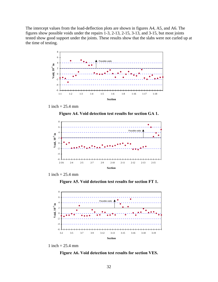<span id="page-39-0"></span>The intercept values from the load-deflection plots are shown in figures A4, A5, and A6. The figures show possible voids under the repairs 1-3, 2-13, 2-15, 3-13, and 3-15, but most joints tested show good support under the joints. These results show that the slabs were not curled up at the time of testing.



1 inch =  $25.4 \text{ mm}$ 

**Figure A4. Void detection test results for section GA 1.** 





**Figure A5. Void detection test results for section FT 1.** 



1 inch =  $25.4 \text{ mm}$ 

**Figure A6. Void detection test results for section VES.**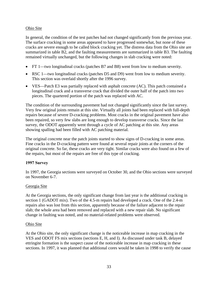### Ohio Site

In general, the condition of the test patches had not changed significantly from the previous year. The surface cracking in some areas appeared to have progressed somewhat, but none of these cracks are severe enough to be called block cracking yet. The distress data from the Ohio site are summarized in table B2, and the faulting measurements are summarized in table B3. The faulting remained virtually unchanged, but the following changes in slab cracking were noted:

- FT 1—two longitudinal cracks (patches B7 and B8) went from low to medium severity.
- RSC 1—two longitudinal cracks (patches D5 and D9) went from low to medium severity. This section was overlaid shortly after the 1996 survey.
- VES—Patch E3 was partially replaced with asphalt concrete (AC). This patch contained a longitudinal crack and a transverse crack that divided the outer half of the patch into two pieces. The quartered portion of the patch was replaced with AC.

The condition of the surrounding pavement had not changed significantly since the last survey. Very few original joints remain at this site. Virtually all joints had been replaced with full-depth repairs because of severe D-cracking problems. Most cracks in the original pavement have also been repaired, so very few slabs are long enough to develop transverse cracks. Since the last survey, the ODOT apparently went through a cycle of AC patching at this site. Any areas showing spalling had been filled with AC patching material.

The original concrete near the patch joints started to show signs of D-cracking in some areas. Fine cracks in the D-cracking pattern were found at several repair joints at the corners of the original concrete. So far, these cracks are very tight. Similar cracks were also found on a few of the repairs, but most of the repairs are free of this type of cracking.

#### **1997 Survey**

In 1997, the Georgia sections were surveyed on October 30, and the Ohio sections were surveyed on November 6-7.

#### Georgia Site

At the Georgia sections, the only significant change from last year is the additional cracking in section 1 (GADOT mix). Two of the 4.5-m repairs had developed a crack. One of the 2.4-m repairs also was lost from this section, apparently because of the failure adjacent to the repair slab; the whole area had been removed and replaced with a new repair slab. No significant change in faulting was noted, and no material-related problems were observed.

#### Ohio Site

At the Ohio site, the only significant change is the noticeable increase in map cracking in the VES and ODOT FS mix sections (sections E, H, and I). As discussed under task B, delayed ettringite formation is the suspect cause of the noticeable increase in map cracking in these sections. In 1997, it was planned that additional cores would be taken in 1998 to verify the cause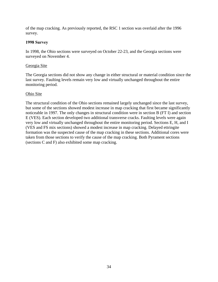of the map cracking. As previously reported, the RSC 1 section was overlaid after the 1996 survey.

### **1998 Survey**

In 1998, the Ohio sections were surveyed on October 22-23, and the Georgia sections were surveyed on November 4.

#### Georgia Site

The Georgia sections did not show any change in either structural or material condition since the last survey. Faulting levels remain very low and virtually unchanged throughout the entire monitoring period.

#### Ohio Site

The structural condition of the Ohio sections remained largely unchanged since the last survey, but some of the sections showed modest increase in map cracking that first became significantly noticeable in 1997. The only changes in structural condition were in section B (FT I) and section E (VES). Each section developed two additional transverse cracks. Faulting levels were again very low and virtually unchanged throughout the entire monitoring period. Sections E, H, and I (VES and FS mix sections) showed a modest increase in map cracking. Delayed ettringite formation was the suspected cause of the map cracking in these sections. Additional cores were taken from those sections to verify the cause of the map cracking. Both Pyrament sections (sections C and F) also exhibited some map cracking.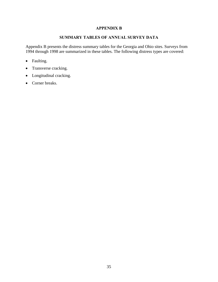### **APPENDIX B**

### **SUMMARY TABLES OF ANNUAL SURVEY DATA**

<span id="page-42-0"></span>Appendix B presents the distress summary tables for the Georgia and Ohio sites. Surveys from 1994 through 1998 are summarized in these tables. The following distress types are covered:

- Faulting.
- Transverse cracking.
- Longitudinal cracking.
- Corner breaks.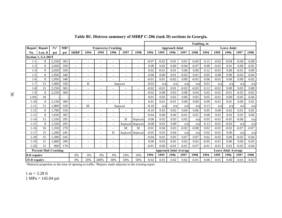|                                      |                          |                  |                 |                          |                          |                            |                          |                               |                          | Faulting, in |         |                       |                            |         |         |         |                    |         |         |
|--------------------------------------|--------------------------|------------------|-----------------|--------------------------|--------------------------|----------------------------|--------------------------|-------------------------------|--------------------------|--------------|---------|-----------------------|----------------------------|---------|---------|---------|--------------------|---------|---------|
| Repair                               | Repair                   | f'c <sup>1</sup> | MR <sup>1</sup> |                          |                          | <b>Transverse Cracking</b> |                          |                               |                          |              |         | <b>Approach Joint</b> |                            |         |         |         | <b>Leave Joint</b> |         |         |
| No.                                  | Len, ft                  | psi              | psi             | <b>SHRP</b>              | 1994                     | 1995                       | 1996                     | 1997                          | 1998                     | 1994         | 1995    | 1996                  | 1997                       | 1998    | 1994    | 1995    | 1996               | 1997    | 1998    |
|                                      | <b>Section 1, GA DOT</b> |                  |                 |                          |                          |                            |                          |                               |                          |              |         |                       |                            |         |         |         |                    |         |         |
| $1 - 1$                              | 8                        | 2,250            | 365             | $\overline{\phantom{a}}$ | $\overline{a}$           | $\overline{\phantom{a}}$   | $\overline{\phantom{a}}$ | $\overline{\phantom{a}}$      | $\overline{a}$           | $-0.07$      | $-0.02$ | 0.01                  | 0.01                       | $-0.04$ | 0.15    | $-0.02$ | $-0.04$            | $-0.04$ | $-0.08$ |
| $-3$                                 | 8                        | 2,050            | 350             | $\overline{\phantom{a}}$ | $\overline{\phantom{a}}$ | $\overline{\phantom{a}}$   |                          |                               | $\overline{\phantom{a}}$ | 0.00         | 0.02    | 0.00                  | $-0.04$                    | $-0.07$ | 0.00    | $-0.01$ | 0.01               | 0.00    | $-0.02$ |
| $-4$                                 | 8                        | 2,050            | 350             | $\overline{\phantom{a}}$ | $\overline{\phantom{a}}$ | $\overline{\phantom{a}}$   | $\overline{\phantom{a}}$ |                               |                          | 0.02         | $-0.01$ | 0.01                  | 0.06                       | 0.00    | 0.12    | $-0.01$ | 0.00               | $-0.01$ | 0.00    |
| $-5$                                 | 8                        | 1.950            | 340             | $\overline{\phantom{a}}$ | $\overline{a}$           | $\overline{\phantom{a}}$   | $\overline{\phantom{a}}$ | $\overline{\phantom{0}}$      | $\overline{\phantom{a}}$ | 0.00         | 0.00    | 0.01                  | $-0.02$                    | 0.01    | 0.05    | 0.00    | 0.00               | $-0.03$ | $-0.04$ |
| -6                                   | 8                        | 1,950            | 340             | $\overline{\phantom{a}}$ |                          |                            |                          |                               |                          | $-0.01$      | 0.01    | $-0.02$               | 0.00                       | $-0.03$ | 0.06    | $-0.01$ | 0.00               | 0.00    | $-0.02$ |
| $-7$                                 | 15                       | 1.900            | 330             | $\overline{\phantom{a}}$ | H                        |                            |                          | Replaced                      |                          | $-0.03$      | n/a     | n/a                   | n/a                        | n/a     | 0.01    | n/a     | n/a                | n/a     | n/a     |
| $1-8$                                | 15                       | 2,250            | 365             |                          |                          |                            |                          |                               |                          | $-0.02$      | $-0.01$ | 0.01                  | $-0.02$                    | $-0.03$ | 0.12    | $-0.01$ | 0.00               | 0.03    | 0.00    |
| $-9$                                 | 8                        | 2,250            | 360             | $\overline{\phantom{a}}$ | $\overline{\phantom{a}}$ |                            |                          |                               |                          | $-0.02$      | 0.00    | 0.03                  | 0.08                       | 0.04    | 0.02    | $-0.01$ | $-0.01$            | $-0.02$ | $-0.02$ |
| 1-9A                                 | 18                       |                  |                 | $\overline{a}$           | $\overline{a}$           |                            |                          |                               | $\overline{a}$           | 0.01         | 0.02    | 0.02                  | 0.06                       | 0.03    | 0.05    | $-0.01$ | 0.00               | $-0.05$ | $-0.04$ |
| $1-10$                               | 8                        | 2,150            | 360             | $\overline{\phantom{a}}$ |                          |                            |                          |                               |                          | 0.01         | 0.01    | $-0.01$               | 0.00                       | 0.00    | 0.09    | $-0.01$ | 0.01               | 0.00    | 0.01    |
| $1 - 11$                             | 15                       | 1,800            | 320             | $\overline{a}$           | M                        |                            |                          | Replaced                      |                          | $-0.10$      | n/a     | n/a                   | n/a                        | n/a     | 0.13    | n/a     | n/a                | n/a     | n/a     |
| $1 - 12$                             | 8                        | 1.700            | 310             | $\overline{a}$           | $\overline{a}$           | $\overline{a}$             |                          |                               | $\overline{a}$           | $-0.10$      | 0.03    | 0.02                  | 0.04                       | 0.06    | 0.05    | 0.00    | 0.02               | 0.01    | 0.02    |
| $1 - 13$                             | 8                        | 1,650            | 305             | $\overline{a}$           |                          |                            |                          |                               |                          | $-0.04$      | 0.00    | 0.00                  | $-0.01$                    | 0.01    | 0.08    | 0.01    | 0.02               | 0.03    | 0.06    |
| $1 - 14$                             | 15                       | 1,550            | 295             | $\overline{a}$           |                          |                            |                          | H                             | Replaced                 | 0.06         | 0.02    | 0.03                  | 0.05                       | n/a     | 0.05    | $-0.01$ | $-0.05$            | $-0.06$ | n/a     |
| $1 - 15$                             | 8                        | 1,550            | 295             | $\overline{a}$           | $\overline{a}$           |                            |                          | Replaced                      | Replaced                 | $-0.08$      | 0.02    | 0.09                  | n/a                        | n/a     | 0.13    | $-0.01$ | $-0.02$            | n/a     | n/a     |
| $1 - 16$                             | 16                       | 1.350            | 270             | $\overline{a}$           | $\overline{a}$           | $\overline{\phantom{a}}$   |                          | M                             | M                        | $-0.01$      | 0.04    | 0.03                  | $-0.02$                    | $-0.08$ | 0.02    | $-0.01$ | $-0.02$            | $-0.07$ | $-0.07$ |
| $1 - 17$                             | 15                       | 1,200            | 245             | $\overline{a}$           |                          |                            | H                        | Replaced                      | Replaced                 | $-0.05$      | 0.05    | 0.04                  | n/a                        | n/a     | 0.02    | $-0.01$ | 0.00               | n/a     | n/a     |
| $1 - 18$                             | 15                       | 1.200            | 245             | $\overline{a}$           | $\overline{\phantom{a}}$ | $\overline{\phantom{a}}$   | $\overline{\phantom{a}}$ |                               |                          | $-0.04$      | 0.01    | 0.05                  | 0.07                       | 0.07    | 0.02    | $-0.02$ | 0.00               | $-0.02$ | $-0.04$ |
| $1 - 19$                             | 15                       | 1,000            | 200             | $\overline{a}$           |                          |                            |                          |                               |                          | 0.00         | 0.03    | 0.02                  | 0.02                       | 0.02    | $-0.05$ | $-0.01$ | 0.06               | 0.06    | $-0.03$ |
| $1 - 20$                             | 15                       | 900              | 170             |                          |                          |                            | $\overline{\phantom{a}}$ |                               | $\overline{\phantom{0}}$ | $-0.01$      | 0.00    | $-0.01$               | $-0.01$                    | $-0.07$ | $-0.01$ | $-0.01$ | 0.02               | $-0.02$ | $-0.04$ |
| <b>Percent Slab Cracking</b>         |                          |                  |                 |                          |                          |                            |                          | <b>Approach Joint Average</b> |                          |              |         |                       | <b>Leave Joint Average</b> |         |         |         |                    |         |         |
| 8-ft repairs<br>0%<br>0%<br>0%<br>0% |                          |                  |                 | 10%                      | 10%                      | 1994                       | 1995                     | 1996                          | 1997                     | 1998         | 1994    | 1995                  | 1996                       | 1997    | 1998    |         |                    |         |         |
|                                      | 15-ft repairs            |                  |                 | 0%                       | 20%                      | 200%                       | 30%                      | 50%                           | 50%                      | $-0.02$      | 0.01    | 0.02                  | 0.02                       | $-0.01$ | 0.06    | $-0.01$ | 0.00               | $-0.01$ | $-0.02$ |

**Table B1. Distress summary of SHRP C-206 (task D) sections in Georgia.** 

<sup>1</sup>Material properties at the time of opening to traffic; <sup>2</sup>Repairs made adjacent to the existing repair.

<span id="page-43-0"></span>1 m = 3.28 ft 1 MPa = 145.04 psi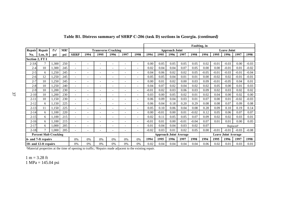|                                                      |                              |                  |                 |                          |                          |                          |                            |                          |                          | Faulting, in |                               |                       |         |         |                            |         |                       |         |         |
|------------------------------------------------------|------------------------------|------------------|-----------------|--------------------------|--------------------------|--------------------------|----------------------------|--------------------------|--------------------------|--------------|-------------------------------|-----------------------|---------|---------|----------------------------|---------|-----------------------|---------|---------|
| Repair                                               | Repair                       | f'c <sup>1</sup> | MR <sup>1</sup> |                          |                          |                          | <b>Transverse Cracking</b> |                          |                          |              |                               | <b>Approach Joint</b> |         |         |                            |         | <b>Leave Joint</b>    |         |         |
| No.                                                  | Len, ft                      | psi              | psi             | <b>SHRP</b>              | 1994                     | 1995                     | 1996                       | 1997                     | 1998                     | 1994         | 1995                          | 1996                  | 1997    | 1998    | 1994                       | 1995    | 1996                  | 1997    | 1998    |
| <b>Section 2, FT I</b>                               |                              |                  |                 |                          |                          |                          |                            |                          |                          |              |                               |                       |         |         |                            |         |                       |         |         |
| $2-3A$                                               | π                            | 1,300            | 250             | $\overline{\phantom{a}}$ | $\overline{\phantom{a}}$ |                          | $\overline{\phantom{0}}$   | $\overline{\phantom{a}}$ | $\overline{a}$           | 0.00         | 0.05                          | 0.05                  | 0.05    | 0.05    | 0.02                       | $-0.01$ | $-0.03$               | 0.00    | $-0.03$ |
| $2 - 4$                                              | 10                           | 1,300            | 245             | $\overline{\phantom{a}}$ |                          |                          |                            |                          |                          | 0.02         | 0.04                          | 0.04                  | 0.07    | 0.05    | 0.00                       | 0.00    | $-0.01$               | 0.01    | $-0.02$ |
| $2 - 5$                                              | 6                            | 1,250            | 245             | $\overline{\phantom{a}}$ |                          |                          |                            |                          |                          | 0.04         | 0.06                          | 0.02                  | 0.02    | 0.05    | $-0.05$                    | $-0.01$ | $-0.03$               | $-0.01$ | $-0.04$ |
| $2 - 6$                                              | 12                           | 1,250            | 245             | $\overline{\phantom{a}}$ | $\overline{\phantom{a}}$ |                          | $\overline{\phantom{0}}$   | $\overline{a}$           | $\overline{a}$           | 0.05         | 0.05                          | 0.04                  | 0.01    | 0.01    | 0.00                       | $-0.02$ | 0.02                  | $-0.01$ | $-0.01$ |
| $2 - 7$                                              | 10                           | 1,250            | 245             | $\overline{\phantom{a}}$ | $\overline{\phantom{0}}$ | $\overline{\phantom{a}}$ | $\overline{\phantom{0}}$   | $\overline{a}$           | $\overline{a}$           | 0.00         | 0.01                          | 0.02                  | 0.00    | 0.03    | 0.09                       | $-0.01$ | $-0.05$               | 0.04    | 0.01    |
| $2 - 8$                                              | 10                           | 1,250            | 240             |                          |                          |                          |                            |                          |                          | 0.04         | 0.07                          | 0.02                  | 0.04    | 0.02    | 0.02                       | 0.05    | 0.00                  | 0.01    | 0.03    |
| $2 - 9$                                              | 10                           | 1,200            | 230             | $\overline{\phantom{a}}$ | $\overline{\phantom{a}}$ |                          |                            |                          | $\overline{\phantom{0}}$ | $-0.01$      | 0.02                          | 0.03                  | 0.06    | 0.03    | 0.09                       | 0.02    | 0.03                  | 0.02    | 0.02    |
| $2 - 10$                                             | 10                           | 1,200            | 230             | $\overline{\phantom{a}}$ | $\overline{\phantom{0}}$ |                          | $\overline{\phantom{0}}$   | $\overline{a}$           | $\overline{a}$           | 0.03         | 0.00                          | 0.05                  | 0.02    | 0.01    | 0.02                       | 0.04    | 0.00                  | 0.02    | 0.00    |
| $2 - 11$                                             | 10                           | 1,150            | 230             | $\overline{\phantom{a}}$ | $\overline{\phantom{0}}$ | $\overline{\phantom{a}}$ | $\overline{\phantom{0}}$   | $\overline{\phantom{0}}$ | $\overline{a}$           | 0.06         | 0.09                          | 0.04                  | 0.03    | 0.01    | 0.07                       | 0.00    | 0.01                  | $-0.02$ | $-0.03$ |
| $2 - 12$                                             | 6                            | 1,150            | 225             | $\overline{\phantom{a}}$ | $\overline{\phantom{0}}$ | $\overline{\phantom{a}}$ | $\overline{\phantom{0}}$   | $\overline{a}$           | $\overline{a}$           | 0.06         | 0.04                          | 0.18                  | 0.20    | 0.29    | 0.08                       | 0.08    | 0.07                  | 0.09    | 0.08    |
| $2 - 13$                                             | 11                           | 1,150            | 225             | $\overline{\phantom{a}}$ |                          |                          |                            |                          |                          | 0.05         | 0.10                          | 0.06                  | 0.04    | 0.08    | 0.28                       | 0.09    | 0.10                  | 0.19    | 0.14    |
| $2 - 14$                                             | 6                            | 1,100            | 220             | $\overline{\phantom{a}}$ |                          |                          |                            |                          |                          | 0.00         | $-0.01$                       | 0.00                  | 0.01    | $-0.02$ | 0.12                       | 0.05    | 0.06                  | 0.07    | 0.07    |
| $2 - 15$                                             | 6                            | 1,100            | 215             | $\overline{\phantom{a}}$ |                          |                          |                            |                          | -                        | 0.02         | 0.11                          | 0.05                  | 0.05    | 0.07    | 0.09                       | 0.02    | 0.02                  | 0.03    | 0.01    |
| $2 - 16$                                             | 6                            | 1,100            | 215             | $\overline{\phantom{a}}$ | $\overline{\phantom{0}}$ | $\overline{\phantom{a}}$ | $\overline{\phantom{0}}$   | $\overline{a}$           | $\overline{a}$           | $-0.01$      | 0.01                          | 0.00                  | $-0.01$ | $-0.04$ | 0.07                       | 0.01    | 0.01                  | 0.00    | 0.05    |
| $2 - 17$                                             | 6                            | 1,000            | 205             | $\overline{\phantom{0}}$ |                          |                          |                            |                          | $\overline{\phantom{0}}$ | 0.01         | 0.04                          | 0.04                  | 0.03    | 0.02    | 0.07                       |         | Replaced <sup>2</sup> |         |         |
| $2 - 18$                                             | $\mathcal{I}$                | 1.000            | 205             |                          |                          |                          |                            |                          |                          | $-0.02$      | 0.03                          | 0.01                  | 0.02    | 0.05    | 0.00                       | $-0.01$ | $-0.01$               | $-0.03$ | $-0.08$ |
|                                                      | <b>Percent Slab Cracking</b> |                  |                 |                          |                          |                          |                            |                          |                          |              | <b>Approach Joint Average</b> |                       |         |         | <b>Leave Joint Average</b> |         |                       |         |         |
| 0%<br>0%<br>0%<br>6- and 7-ft repairs<br>$0\%$<br>0% |                              |                  |                 |                          | 0%                       | 1994                     | 1995                       | 1996                     | 1997                     | 1998         | 1994                          | 1995                  | 1996    | 1997    | 1998                       |         |                       |         |         |
| 10- and 12-ft repairs                                |                              |                  | 0%              | 0%                       | 0%                       | 0%                       | 0%                         | 0%                       | 0.02                     | 0.04         | 0.04                          | 0.04                  | 0.04    | 0.06    | 0.02                       | 0.01    | 0.03                  | 0.01    |         |

### Table B1. Distress summary of SHRP C-206 (task D) sections in Georgia. *(continued)*

Material properties at the time of opening to traffic; <sup>2</sup>Repairs made adjacent to the existing repair.

1 m = 3.28 ft 1 MPa = 145.04 psi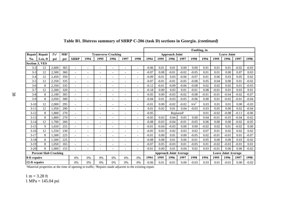|                                      |         |                  |                 |                          |                          |                            |                              |                          |                          |                                              |                               |         |                       | Faulting, in |                            |         |         |         |         |
|--------------------------------------|---------|------------------|-----------------|--------------------------|--------------------------|----------------------------|------------------------------|--------------------------|--------------------------|----------------------------------------------|-------------------------------|---------|-----------------------|--------------|----------------------------|---------|---------|---------|---------|
| Repair                               | Repair  | f'c <sup>1</sup> | MR <sup>1</sup> |                          |                          | <b>Transverse Cracking</b> |                              |                          |                          | <b>Leave Joint</b><br><b>Approach Joint</b>  |                               |         |                       |              |                            |         |         |         |         |
| No.                                  | Len. ft | psi              | psi             | <b>SHRP</b>              | 1994                     | 1995                       | 1996                         | 1997                     | 1998                     | 1994<br>1995<br>1998<br>1994<br>1996<br>1997 |                               |         |                       |              |                            | 1995    | 1996    | 1997    | 1998    |
| <b>Section 3, VES</b>                |         |                  |                 |                          |                          |                            |                              |                          |                          |                                              |                               |         |                       |              |                            |         |         |         |         |
| $3-2$                                | 12      | 2,600            | 365             |                          |                          |                            |                              | -                        | $\overline{\phantom{0}}$ | $-0.06$                                      | 0.01                          | 0.01    | 0.00                  | 0.00         | 0.01                       | 0.01    | 0.01    | $-0.02$ | $-0.03$ |
| $3 - 3$                              | 12      | 2,500            | 360             |                          |                          |                            |                              | ۰                        | $\overline{\phantom{0}}$ | $-0.07$                                      | 0.08                          | $-0.01$ | $-0.02$               | $-0.05$      | 0.01                       | 0.01    | 0.00    | 0.07    | 0.03    |
| $3-4$                                | 12      | 2.450            | 350             | $\overline{a}$           | $\overline{\phantom{0}}$ | $\overline{a}$             | $\overline{a}$               | $\overline{a}$           | $\overline{a}$           | $-0.09$                                      | $-0.01$                       | 0.03    | $-0.06$               | $-0.07$      | 0.01                       | 0.06    | 0.03    | 0.05    | 0.02    |
| $3 - 5$                              | 12      | 2,350            | 335             | $\overline{\phantom{a}}$ | $\overline{\phantom{a}}$ | $\overline{\phantom{a}}$   | $\overline{a}$               | $\overline{\phantom{a}}$ | $\overline{\phantom{a}}$ | $-0.07$                                      | $-0.01$                       | $-0.01$ | $-0.05$               | $-0.08$      | 0.05                       | 0.04    | 0.00    | 0.01    | $-0.02$ |
| $3-6$                                | $\,8\,$ | 2,350            | 335             | $\overline{\phantom{a}}$ | $\overline{\phantom{a}}$ | $\overline{\phantom{a}}$   | $\overline{a}$               | $\overline{\phantom{0}}$ | $\overline{\phantom{a}}$ | $-0.12$                                      | $-0.01$                       | $-0.09$ | $-0.06$               | $-0.08$      | 0.02                       | 0.02    | 0.02    | 0.01    | $-0.03$ |
| $3 - 7$                              | 12      | 2,200            | 320             | $\overline{\phantom{a}}$ | $\overline{\phantom{0}}$ | $\overline{\phantom{0}}$   | $\overline{a}$               | $\overline{\phantom{a}}$ | $\overline{\phantom{0}}$ | $-0.18$                                      | 0.00                          | 0.03    | 0.01                  | $-0.01$      | 0.08                       | $-0.01$ | 0.01    | 0.03    | 0.01    |
| $3 - 8$                              | 8       | 2.100            | 305             |                          |                          |                            |                              | ۰                        | $\overline{\phantom{0}}$ | $-0.05$                                      | 0.00                          | $-0.03$ | $-0.02$               | $-0.08$      | $-0.01$                    | $-0.01$ | $-0.04$ | $-0.02$ | $-0.07$ |
| $3-9$                                | 8       | 2,050            | 300             | $\overline{a}$           |                          |                            | $\overline{a}$               | ۰                        | $\overline{\phantom{0}}$ | $-0.04$                                      | 0.01                          | $-0.03$ | $-0.05$               | $-0.06$      | 0.00                       | 0.01    | $-0.02$ | $-0.01$ | $-0.04$ |
| $3-10$                               | 12      | 2,000            | 295             | $\overline{a}$           | $\overline{\phantom{0}}$ | $\overline{\phantom{a}}$   | $\overline{a}$               | $\overline{a}$           | $\overline{a}$           | $-0.01$                                      | 0.00                          | $-0.02$ | $-0.02$               | $n/a^2$      | 0.03                       | 0.01    | 0.01    | 0.00    | $-0.03$ |
| $3 - 11$                             | 12      | 1.950            | 290             |                          |                          |                            | $\overline{a}$               | $\overline{\phantom{0}}$ | $\overline{\phantom{0}}$ | 0.01                                         | 0.02                          | 0.01    | 0.04                  | $-0.03$      | 0.03                       | 0.05    | 0.00    | 0.02    | $-0.04$ |
| $3 - 12$                             | 8       | .800             | 270             | $\overline{a}$           |                          |                            |                              |                          |                          | $-0.05$                                      |                               |         | Replaced <sup>2</sup> |              | 0.01                       | $-0.02$ | $-0.08$ | $-0.11$ | $-0.06$ |
| $3 - 13$                             | 8       | 1.800            | 270             | $\overline{\phantom{a}}$ | $\overline{\phantom{a}}$ | $\overline{\phantom{0}}$   | $\overline{a}$               | $\overline{\phantom{0}}$ | $\overline{\phantom{a}}$ | $-0.05$                                      | 0.03                          | 0.04    | 0.05                  | 0.00         | 0.04                       | $-0.01$ | $-0.03$ | $-0.04$ | $-0.02$ |
| $3 - 14$                             | 12      | 1.700            | 260             | $\overline{\phantom{a}}$ | $\overline{\phantom{0}}$ | $\overline{\phantom{0}}$   | $\overline{a}$               | $\overline{\phantom{0}}$ | $\overline{\phantom{a}}$ | $-0.08$                                      | $-0.03$                       | $-0.04$ | $-0.01$               | $-0.05$      | 0.06                       | 0.00    | 0.00    | $-0.02$ | $-0.05$ |
| $3 - 15$                             | 9       | 1.650            | 255             | $\overline{\phantom{a}}$ |                          |                            |                              | $\overline{\phantom{a}}$ | $\overline{\phantom{0}}$ | $-0.01$                                      | $-0.04$                       | $-0.03$ | 0.00                  | 0.00         | $-0.02$                    | 0.02    | 0.01    | $-0.02$ | 0.00    |
| $3-16$                               | 12      | 1.550            | 230             | $\overline{\phantom{a}}$ |                          |                            | $\overline{a}$               | $\overline{\phantom{0}}$ | $\overline{\phantom{a}}$ | $-0.05$                                      | 0.03                          | 0.02    | 0.03                  | 0.02         | 0.07                       | 0.01    | 0.02    | 0.02    | 0.02    |
| $3 - 17$                             | 8       | 1.500            | 225             | $\overline{a}$           |                          |                            |                              | ۰                        | $\overline{\phantom{a}}$ | $-0.01$                                      | 0.00                          | 0.01    | 0.00                  | $-0.05$      | 0.02                       | $-0.01$ | $-0.01$ | 0.01    | $-0.07$ |
| $3-18$                               | 8       | 1,500            | 225             | $\overline{a}$           | $\overline{\phantom{0}}$ | $\overline{\phantom{0}}$   | $\overline{a}$               | $\overline{a}$           | $\overline{a}$           | $-0.08$                                      | 0.08                          | 0.01    | 0.06                  | $-0.01$      | 0.05                       | 0.00    | 0.00    | 0.03    | $-0.02$ |
| $3-19$                               | 8       | 1.050            | 165             | $\overline{\phantom{a}}$ | $\overline{\phantom{a}}$ | $\overline{\phantom{a}}$   | $\qquad \qquad \blacksquare$ | $\overline{\phantom{0}}$ | $\overline{\phantom{a}}$ | $-0.07$                                      | 0.05                          | $-0.03$ | 0.01                  | $-0.05$      | 0.01                       | $-0.02$ | $-0.03$ | $-0.01$ | 0.01    |
| $3-20$                               | 8       | 1.000            | 155             | $\overline{a}$           |                          |                            |                              |                          | $\overline{\phantom{a}}$ | $-0.01$                                      | 0.00                          | 0.01    | 0.04                  | 0.02         | 0.03                       | $-0.01$ | 0.00    | 0.00    | $-0.02$ |
| <b>Percent Slab Cracking</b>         |         |                  |                 |                          |                          |                            |                              |                          |                          |                                              | <b>Approach Joint Average</b> |         |                       |              | <b>Leave Joint Average</b> |         |         |         |         |
| 8-ft repairs<br>0%<br>0%<br>0%<br>0% |         |                  |                 |                          | 0%                       | 0%                         | 1994                         | 1995                     | 1996                     | 1997                                         | 1998                          | 1994    | 1995                  | 1996         | 1997                       | 1998    |         |         |         |
| 12-ft repairs                        |         |                  |                 | 0%                       | 0%                       | 0%                         | 0%                           | 0%                       | 0%                       | $-0.06$                                      | 0.01                          | $-0.01$ | 0.00                  | $-0.03$      | 0.03                       | 0.01    | $-0.01$ | 0.00    | $-0.02$ |

## Table B1. Distress summary of SHRP C-206 (task D) sections in Georgia. *(continued)*

Material properties at the time of opening to traffic; <sup>2</sup>Repairs made adjacent to the existing repair.

1 m = 3.28 ft

1 MPa = 145.04 psi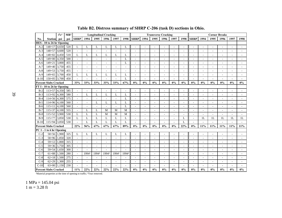|        |                              | f'c'  | MR <sup>1</sup> |                             |                          | <b>Longitudinal Cracking</b> |                          |                          |                          |           |                          | <b>Transverse Cracking</b> |                          |                          |                          |                          |      |      | <b>Corner Breaks</b> |                          |       |
|--------|------------------------------|-------|-----------------|-----------------------------|--------------------------|------------------------------|--------------------------|--------------------------|--------------------------|-----------|--------------------------|----------------------------|--------------------------|--------------------------|--------------------------|--------------------------|------|------|----------------------|--------------------------|-------|
| No.    | Station psi                  |       | psi             | <b>SHRP</b>                 | 1994                     | 1995                         | 1996                     | 1997                     |                          | 1998 SHRP | 1994                     | 1995                       | 1996                     | 1997                     |                          | 1998 SHRP                | 1994 | 1995 | 1996                 | 1997                     | 1998  |
|        | HES - 10 to 26 hr Opening    |       |                 |                             |                          |                              |                          |                          |                          |           |                          |                            |                          |                          |                          |                          |      |      |                      |                          |       |
| $A-2$  | 148+17 4,650                 |       | 520             | L                           | L                        | $\mathbf{L}$                 | L                        | L                        | L                        |           |                          |                            |                          |                          |                          |                          |      |      |                      |                          |       |
| $A-3$  | 148+57 4,600                 |       | 520             | $\overline{\phantom{a}}$    | $\overline{\phantom{a}}$ |                              | ٠                        |                          | $\overline{\phantom{a}}$ |           |                          | $\overline{\phantom{a}}$   | ÷.                       |                          | $\overline{a}$           | $\overline{a}$           |      |      |                      | $\overline{\phantom{a}}$ |       |
| $A-4$  | $148 + 82$                   | 4,450 | 510             | L                           | L                        | L                            | L                        | L                        | L                        |           |                          |                            |                          |                          |                          | ÷,                       |      |      |                      |                          |       |
| $A-5$  | $149+00$                     | 4,350 | 500             |                             |                          |                              |                          |                          | L                        |           |                          |                            |                          |                          |                          | $\overline{a}$           |      |      |                      |                          |       |
| A-6    | $149 + 21$                   | 3,800 | 455             |                             | $\overline{\phantom{a}}$ |                              | $\overline{\phantom{a}}$ | $\sim$                   | L                        |           |                          | $\overline{\phantom{a}}$   | $\overline{\phantom{a}}$ |                          | L,                       | $\sim$                   |      |      |                      |                          |       |
| $A-7$  | 149+40 3,750                 |       | 455             |                             | $\overline{\phantom{a}}$ |                              |                          | $\overline{\phantom{a}}$ | ÷,                       |           |                          | $\overline{a}$             |                          |                          | ÷,                       | $\overline{\phantom{a}}$ |      |      |                      |                          |       |
| $A-8$  | $149+53$ 3,750               |       | 455             |                             | L,                       |                              |                          |                          | L,                       |           |                          |                            |                          |                          |                          | $\overline{\phantom{a}}$ |      |      |                      |                          |       |
| $A-9$  | $149+65$ 3,700               |       | 450             | L                           | L                        | L                            | L                        | L                        | L                        |           |                          |                            |                          |                          |                          |                          |      |      |                      |                          |       |
| $A-10$ | $150+05$ 3,700               |       | 450             |                             |                          |                              |                          |                          | L                        |           |                          |                            |                          |                          |                          |                          |      |      |                      |                          |       |
|        | <b>Percent Slabs Cracked</b> |       |                 | 33%                         | 33%                      | 33%                          | 33%                      | 33%                      | 67%                      | 0%        | 0%                       | 0%                         | 0%                       | 0%                       | 0%                       | 0%                       | 0%   | 0%   | 0%                   | 0%                       | $0\%$ |
|        | FT I - 10 to 26 hr Opening   |       |                 |                             |                          |                              |                          |                          |                          |           |                          |                            |                          |                          |                          |                          |      |      |                      |                          |       |
| $B-2$  | 113+57 4,350                 |       | 585             |                             |                          |                              |                          |                          |                          |           |                          |                            |                          |                          |                          |                          |      |      |                      |                          |       |
| $B-3$  | $113+92$ 4,300               |       | 580             | L.                          | L                        | L                            | L                        | L                        | L                        |           | $\overline{\phantom{a}}$ | $\overline{\phantom{a}}$   | $\sim$                   | $\sim$                   | ÷,                       | $\sim$                   | ÷,   |      | ÷,                   | $\overline{a}$           |       |
| $B-4$  | $114+56$ 4,300               |       | 575             | $\overline{a}$              | $\overline{\phantom{a}}$ |                              | ÷,                       | ÷,                       | L                        |           |                          | $\overline{a}$             | $\overline{a}$           | $\overline{\phantom{a}}$ | ÷,                       | $\overline{\phantom{a}}$ |      |      | L,                   |                          |       |
| $B-5$  | $114+96$ 4,100               |       | 560             | L.                          | $\overline{\phantom{a}}$ | L                            | L                        | L                        | L                        |           |                          | Ĭ.                         |                          |                          |                          | Ĭ.                       |      |      |                      |                          |       |
| $B-6$  | $115+11$ 4,100               |       | 560             |                             |                          |                              |                          |                          | L                        |           |                          |                            |                          |                          |                          |                          |      |      |                      |                          |       |
| $B-7$  | $115+37$ 4,100               |       | 555             | $\mathcal{L}_{\mathcal{A}}$ | L                        | L                            | M                        | M                        | M                        |           |                          |                            |                          |                          |                          | $\overline{\phantom{a}}$ |      |      |                      |                          |       |
| $B-8$  | $115+52$ 3,900               |       | 530             | L                           | L                        | L                            | M                        | M                        | M                        |           |                          | $\overline{\phantom{a}}$   | $\overline{\phantom{a}}$ | $\overline{\phantom{a}}$ | $\overline{\phantom{a}}$ | $\sim$                   |      |      |                      |                          |       |
| $B-9$  | $115+77$ 3,850               |       | 530             | L                           | L                        | L                            | L                        | L                        | L                        |           |                          | ÷,                         | ÷                        |                          | L                        | $\overline{a}$           | 1L   | 1L   | 1L                   | 1L                       | 1L    |
| $B-10$ | $115+94$ 3,850               |       | 530             |                             | L                        | L                            | L                        | L                        | L                        |           |                          | $\overline{a}$             |                          |                          | L                        | $\overline{a}$           |      |      |                      |                          |       |
|        | <b>Percent Slabs Cracked</b> |       |                 | 22%                         | 56%                      | 67%                          | 67%                      | 67%                      | 89%                      | $0\%$     | 0%                       | 0%                         | $0\%$                    | 0%                       | 22%                      | 0%                       | 11%  | 11%  | 11%                  | 11%                      | 11%   |
|        | PC 1 - 1 to 6 hr Opening     |       |                 |                             |                          |                              |                          |                          |                          |           |                          |                            |                          |                          |                          |                          |      |      |                      |                          |       |
| $C-2$  | $\overline{58+56}$ 1,900     |       | 325             | L                           | L                        | L                            | L                        | L                        | L                        |           |                          | J.                         |                          |                          |                          |                          |      |      |                      |                          |       |
| $C-3$  | 58+96 1,850                  |       | 320             |                             | L,                       |                              |                          |                          | L,                       |           |                          | ÷,                         |                          |                          |                          | ÷                        |      |      |                      |                          |       |
| $C-4$  | 59+12 1,800                  |       | 315             | $\overline{\phantom{a}}$    | $\overline{\phantom{a}}$ |                              |                          | $\overline{a}$           | $\overline{a}$           |           |                          | $\overline{a}$             | $\overline{\phantom{a}}$ |                          |                          | $\overline{\phantom{a}}$ |      |      |                      |                          |       |
| $C-5$  | 59+36 1,750                  |       | 305             | ٠                           | $\overline{\phantom{a}}$ | $\overline{\phantom{a}}$     | ٠                        | $\overline{\phantom{a}}$ | $\overline{\phantom{a}}$ |           |                          | $\overline{\phantom{a}}$   |                          |                          |                          | $\sim$                   |      |      |                      | ٠                        |       |
| $C-6$  | $59 + 54$                    | 1,650 | 300             |                             |                          |                              |                          |                          |                          |           |                          |                            |                          |                          |                          | $\overline{\phantom{a}}$ |      |      |                      |                          |       |
| $C-7$  | $61 + 88$                    | 1,500 | 280             |                             | 19942                    | 19942                        | 19942                    | 19942                    | 19942                    |           |                          |                            |                          |                          |                          |                          |      |      |                      |                          |       |
| $C-8$  | $62+18$ 1,500                |       | 275             |                             |                          |                              |                          |                          |                          |           |                          |                            |                          |                          |                          |                          |      |      |                      |                          |       |
| $C-9$  | $62 + 29$                    | 1,300 | 255             |                             | $\overline{\phantom{a}}$ |                              | $\overline{\phantom{a}}$ | $\overline{\phantom{a}}$ | $\overline{\phantom{a}}$ |           |                          | $\overline{\phantom{a}}$   | $\overline{\phantom{a}}$ |                          | $\overline{a}$           | $\overline{\phantom{a}}$ |      |      | $\overline{a}$       | $\overline{\phantom{a}}$ |       |
| $C-10$ | $63+00$                      | 1.150 | 230             |                             | $\overline{a}$           |                              |                          |                          | L,                       |           |                          | ÷,                         | $\overline{a}$           |                          |                          | ÷,                       |      |      |                      |                          |       |
|        | <b>Percent Slabs Cracked</b> |       |                 | 11%                         | 22%                      | 22%                          | 22%                      | 22%                      | 22%                      | 0%        | 0%                       | 0%                         | 0%                       | 0%                       | $0\%$                    | 0%                       | 0%   | 0%   | 0%                   | 0%                       | $0\%$ |

# **Table B2. Distress summary of SHRP C-206 (task D) sections in Ohio.**

<sup>1</sup>Material properties at the time of opening to traffic; <sup>2</sup>Year removed.

1 MPa = 145.04 psi

<span id="page-46-0"></span> $1 m = 3.28$  ft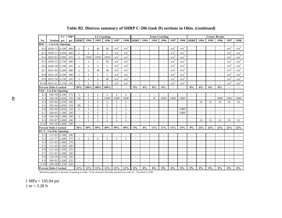|        |                              | f'c'  | MR <sup>1</sup> |                          |       |                          | <b>LT</b> Cracking |                          |                          |                          |                          | <b>Trans Cracking</b>    |                          |                          |                          | <b>Corner Breaks</b>     |      |                |                          |                  |                  |
|--------|------------------------------|-------|-----------------|--------------------------|-------|--------------------------|--------------------|--------------------------|--------------------------|--------------------------|--------------------------|--------------------------|--------------------------|--------------------------|--------------------------|--------------------------|------|----------------|--------------------------|------------------|------------------|
| No.    | <b>Station</b>               | psi   | psi             | <b>SHRP</b>              | 1994  | 1995                     | 1996               | 1997                     | 1998                     | <b>SHRP</b>              | 1994                     | 1995                     | 1996                     | 1997                     | 1998                     | <b>SHRP</b>              | 1994 | 1995           | 1996                     | 1997             | 1998             |
|        | RSC 1 - 1 to 6 hr Opening    |       |                 |                          |       |                          |                    |                          |                          |                          |                          |                          |                          |                          |                          |                          |      |                |                          |                  |                  |
| $D-2$  | 1828+72                      | 4,100 | 480             | L                        | L     | M                        | M                  | n/a <sup>4</sup>         | n/a <sup>4</sup>         |                          |                          |                          |                          | n/a <sup>4</sup>         | n/a <sup>4</sup>         | $\overline{a}$           |      |                | $\overline{a}$           | n/a <sup>4</sup> | n/a <sup>4</sup> |
| $D-3$  | $1829 + 11$                  | 3,950 | 460             | L                        | L     | L                        | L                  | n/a <sup>4</sup>         | n/a <sup>4</sup>         |                          |                          | $\overline{a}$           |                          | n/a <sup>4</sup>         | n/a <sup>4</sup>         | $\overline{\phantom{a}}$ |      |                | $\overline{\phantom{a}}$ | n/a <sup>4</sup> | n/a <sup>4</sup> |
| $D-4$  | $1829 + 83$                  | 3,900 | 455             | L                        | 19942 | 19942                    | 19942              | n/a <sup>4</sup>         | n/a <sup>4</sup>         |                          |                          |                          |                          | n/a <sup>4</sup>         | n/a <sup>4</sup>         | $\overline{a}$           |      |                |                          | n/a <sup>4</sup> | n/a <sup>4</sup> |
| $D-5$  | $1830+25$                    | 3,750 | 440             |                          | L     | L                        | M                  | n/a <sup>4</sup>         | n/a <sup>4</sup>         |                          |                          | ÷                        |                          | n/a <sup>4</sup>         | n/a <sup>4</sup>         | $\overline{a}$           |      |                |                          | n/a <sup>4</sup> | n/a <sup>4</sup> |
| $D-6$  | $1830 + 38$                  | 3,700 | 435             | L                        | L     | L                        | L                  | n/a <sup>4</sup>         | n/a <sup>4</sup>         |                          |                          | ÷                        | $\sim$                   | n/a <sup>4</sup>         | n/a <sup>4</sup>         | $\sim$                   |      |                | $\overline{a}$           | n/a <sup>4</sup> | n/a <sup>4</sup> |
| $D-7$  | $1831 + 84$                  | 3,200 | 380             | L                        | L     | M                        | M                  | n/a <sup>4</sup>         | n/a <sup>4</sup>         |                          |                          | ÷                        | $\sim$                   | n/a <sup>4</sup>         | n/a <sup>4</sup>         | $\overline{\phantom{a}}$ |      |                | $\overline{\phantom{a}}$ | n/a <sup>4</sup> | n/a <sup>4</sup> |
| $D-8$  | $1832 + 20$                  | 3,200 | 380             | L                        | L     | L                        | L                  | n/a <sup>4</sup>         | n/a <sup>4</sup>         |                          |                          | ÷,                       |                          | n/a <sup>4</sup>         | n/a <sup>4</sup>         | $\overline{\phantom{a}}$ |      |                | $\sim$                   | n/a <sup>4</sup> | n/a <sup>4</sup> |
| $D-9$  | $1832 + 34$                  | 2,150 | 245             | L                        | L     | L                        | M                  | n/a <sup>4</sup>         | n/a <sup>4</sup>         |                          |                          | ÷                        |                          | n/a <sup>4</sup>         | n/a <sup>4</sup>         | $\overline{\phantom{a}}$ |      |                | $\overline{a}$           | n/a <sup>4</sup> | n/a <sup>4</sup> |
| $D-10$ | $1832+61$                    | 2,150 | 245             | L                        | L     | L                        | L                  | n/a <sup>4</sup>         | n/a <sup>4</sup>         |                          |                          | ÷,                       |                          | n/a <sup>4</sup>         | n/a <sup>4</sup>         | ÷.                       |      |                |                          | n/a <sup>4</sup> | n/a <sup>4</sup> |
|        | <b>Percent Slabs Cracked</b> |       |                 | 89%                      | 100%  | 100%                     | 100%               | $\overline{\phantom{a}}$ | $\overline{\phantom{a}}$ | $0\%$                    | 0%                       | $0\%$                    | $0\%$                    |                          | $\overline{\phantom{a}}$ | $0\%$                    | 0%   | 0%             | $0\%$                    |                  |                  |
|        | VES - 3 to 8 hr Opening      |       |                 |                          |       |                          |                    |                          |                          |                          |                          |                          |                          |                          |                          |                          |      |                |                          |                  |                  |
| $E-2$  | $106+58$ 3,100 375           |       |                 | L                        | L     | L                        | L                  | L                        | L                        |                          |                          |                          |                          |                          |                          |                          |      |                |                          |                  |                  |
| $E-3$  | $106 + 28$                   | 3,050 | 370             | HL                       | L     | L                        | 19963              | 19963                    | 19963                    | $\sim$                   | $\blacksquare$           | H                        | 19963                    | 19963                    | 19963                    | $\sim$                   |      | $\sim$         | 19963                    | 19963            | 19963            |
| $E-4$  | $105 + 82$                   | 2,550 | 340             | $\blacksquare$           | L     | L                        | L                  | L                        | L                        | $\blacksquare$           | $\overline{\phantom{a}}$ | $\overline{\phantom{a}}$ | $\overline{\phantom{a}}$ | $\blacksquare$           | $\overline{\phantom{a}}$ | $\overline{\phantom{a}}$ | 2L   | 2L             | 2L                       | 2L               | 2L               |
| $E-5$  | $105 + 44$                   | 2.050 | 310             | <b>HL</b>                | L     | L                        | $\mathbf{L}$       | L                        | L                        | $\overline{\phantom{a}}$ | $\overline{a}$           | $\overline{\phantom{a}}$ | $\sim$                   | $\sim$                   | $\overline{a}$           | $\overline{\phantom{a}}$ |      | $\sim$         | $\overline{\phantom{a}}$ |                  |                  |
| $E-6$  | $105 + 04$                   | 2,050 | 310             | L                        | L     | L                        | $\mathbf{L}$       | L                        | L                        | $\overline{a}$           |                          | $\overline{a}$           | $\sim$                   | $\sim$                   | 19983                    | $\overline{\phantom{a}}$ |      |                | $\overline{\phantom{a}}$ |                  |                  |
| $E-7$  | $104 + 65$                   | 1.300 | 260             | $\sim$                   | L     | L                        | L                  | L                        | L                        | $\sim$                   |                          | ÷,                       | $\sim$                   | $\sim$                   | 19983                    | $\overline{\phantom{a}}$ |      |                | $\overline{\phantom{a}}$ | $\overline{a}$   |                  |
| $E-8$  | $104 + 20$                   | 1,300 | 260             | L                        | L     | L                        | L                  | L                        | L                        | $\sim$                   | $\overline{\phantom{a}}$ | ÷,                       | $\overline{a}$           | $\overline{\phantom{a}}$ | $\overline{a}$           | $\sim$                   |      | $\overline{a}$ | $\sim$                   |                  |                  |
| $E-9$  | $103 + 87$                   | 1.000 | 240             | $\overline{\phantom{a}}$ | L     | L                        | L                  | L                        | L                        | $\sim$                   | $\overline{a}$           | $\overline{a}$           | $\sim$                   | $\overline{a}$           | $\overline{\phantom{a}}$ | $\overline{\phantom{a}}$ | 1L   | 1L             | 1L                       | 1L               | 1L               |
| $E-10$ | $103 + 30$                   | 1,000 | 240             | $\sim$                   |       | $\sim$                   |                    | $\overline{a}$           | $\overline{\phantom{a}}$ | $\overline{a}$           | $\sim$                   | ÷,                       | $\sim$                   | $\overline{\phantom{a}}$ | $\overline{a}$           | $\sim$                   |      | $\sim$         | $\overline{a}$           |                  |                  |
|        | <b>Percent Slabs Cracked</b> |       |                 | 56%                      | 89%   | 89%                      | 89%                | 89%                      | 89%                      | 0%                       | 0%                       | 11%                      | 11%                      | 11%                      | 33%                      | 0%                       | 22%  | 22%            | 22%                      | 22%              | 22%              |
|        | PC 2 - 3 to 8 hr Opening     |       |                 |                          |       |                          |                    |                          |                          |                          |                          |                          |                          |                          |                          |                          |      |                |                          |                  |                  |
| $F-2$  | $112+02$                     | 1,500 | 290             |                          |       |                          |                    |                          |                          |                          |                          |                          |                          |                          |                          |                          |      |                |                          |                  |                  |
| $F-3$  | $111 + 77$                   | 1,400 | 275             | L                        | L     | L                        | L                  | L                        | L                        |                          |                          |                          |                          |                          |                          |                          |      |                |                          |                  |                  |
| $F-4$  | $111 + 65$                   | 1,400 | 270             |                          |       |                          |                    |                          |                          |                          |                          |                          |                          |                          |                          |                          |      |                |                          |                  |                  |
| $F-5$  | $111+45$                     | 1,350 | 260             | $\overline{a}$           |       |                          |                    |                          | $\overline{a}$           |                          |                          |                          |                          |                          |                          | $\overline{\phantom{a}}$ |      |                |                          |                  |                  |
| F-6    | $111 + 24$                   | 1,350 | 255             |                          |       |                          |                    |                          | ÷,                       |                          |                          |                          |                          |                          |                          |                          |      |                |                          |                  |                  |
| $F-7$  | $111+07$                     | 1,300 | 250             |                          |       |                          |                    |                          | $\overline{a}$           |                          |                          |                          |                          |                          |                          | $\overline{a}$           |      |                |                          |                  |                  |
| $F-8$  | $110+29$                     | 1,250 | 250             | $\overline{\phantom{a}}$ |       |                          |                    |                          | $\overline{a}$           |                          |                          |                          |                          |                          |                          | $\overline{\phantom{a}}$ |      |                |                          |                  |                  |
| $F-9$  | $109 + 91$                   | 1,200 | 235             | $\blacksquare$           |       | $\overline{\phantom{a}}$ |                    | $\overline{\phantom{a}}$ | $\overline{\phantom{a}}$ |                          |                          | $\sim$                   |                          |                          | $\overline{\phantom{a}}$ | $\sim$                   |      |                | $\overline{\phantom{a}}$ |                  |                  |
| $F-10$ | $109 + 40$                   | 1,150 | 220             |                          |       |                          |                    |                          |                          |                          |                          |                          |                          |                          |                          | $\sim$                   |      |                |                          |                  |                  |
|        | <b>Percent Slabs Cracked</b> |       |                 | 11%                      | 11%   | 11%                      | 11%                | 11%                      | 11%                      | $0\%$                    | 0%                       | 0%                       | 0%                       | 0%                       | 0%                       | 0%                       | 0%   | 0%             | 0%                       | 0%               | 0%               |

**Table B2. Distress summary of SHRP C-206 (task D) sections in Ohio.** *(continued)* 

Material properties at the time of opening to traffic; <sup>2</sup>Year removed; <sup>3</sup>Partially patched over with AC; <sup>4</sup>Overlaid in 1996.

1 MPa = 145.04 psi  $1 m = 3.28 ft$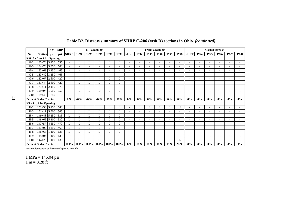|        |                              | $f'c^1$ | $MR^1$ |             |                          |        | <b>LT Cracking</b> |         |        |                          |                          | <b>Trans Cracking</b>    |                          |                          |                          |                          | <b>Corner Breaks</b><br>1994<br>1995<br>1996<br>$\overline{a}$<br>$\overline{\phantom{a}}$<br>$\overline{\phantom{a}}$<br>$\overline{\phantom{a}}$<br>٠<br>$\overline{a}$<br>$\sim$<br>٠<br>٠<br>$\overline{a}$<br>٠<br>$\overline{\phantom{a}}$<br>$\overline{\phantom{a}}$<br>$\overline{\phantom{a}}$<br>$0\%$<br>$0\%$<br>$0\%$<br>٠<br>÷<br>$\sim$<br>$\overline{\phantom{a}}$<br>$\sim$<br>$\overline{\phantom{a}}$<br>٠<br>$\overline{\phantom{a}}$<br>$\sim$<br>÷ |       |       |                          |                          |
|--------|------------------------------|---------|--------|-------------|--------------------------|--------|--------------------|---------|--------|--------------------------|--------------------------|--------------------------|--------------------------|--------------------------|--------------------------|--------------------------|---------------------------------------------------------------------------------------------------------------------------------------------------------------------------------------------------------------------------------------------------------------------------------------------------------------------------------------------------------------------------------------------------------------------------------------------------------------------------|-------|-------|--------------------------|--------------------------|
| No.    | <b>Station</b>               | psi     | psi    | <b>SHRP</b> | 1994                     | 1995   | 1996               | 1997    | 1998   | <b>SHRP</b>              | 1994                     | 1995                     | 1996                     | 1997                     | 1998                     | <b>SHRP</b>              |                                                                                                                                                                                                                                                                                                                                                                                                                                                                           |       |       | 1997                     | 1998                     |
|        | RSC 2 - 3 to 8 hr Opening    |         |        |             |                          |        |                    |         |        |                          |                          |                          |                          |                          |                          |                          |                                                                                                                                                                                                                                                                                                                                                                                                                                                                           |       |       |                          |                          |
| $G-2$  | $135+70$ 3.950               |         | 535    | $\sim$      | L                        |        | L                  |         | L      | $\overline{\phantom{a}}$ | $\overline{\phantom{a}}$ | ٠                        | $\overline{\phantom{a}}$ | $\overline{\phantom{a}}$ | $\overline{\phantom{a}}$ | $\overline{a}$           |                                                                                                                                                                                                                                                                                                                                                                                                                                                                           |       |       |                          | $\sim$                   |
| $G-3$  | $134+73$ 3,350               |         | 500    | $\sim$      | $\overline{\phantom{a}}$ |        | $\blacksquare$     |         | $\sim$ | $\overline{\phantom{a}}$ | $\overline{\phantom{a}}$ | ٠                        | $\overline{\phantom{a}}$ | ٠                        | $\overline{\phantom{a}}$ | $\sim$                   |                                                                                                                                                                                                                                                                                                                                                                                                                                                                           |       |       | ٠                        |                          |
| $G-4$  | $133+69$                     | 3,150   | 465    | $\sim$      | $\overline{a}$           | $\sim$ | ÷.                 |         | $\sim$ | ۰.                       |                          | ÷.                       | $\overline{a}$           | $\sim$                   | ٠                        |                          |                                                                                                                                                                                                                                                                                                                                                                                                                                                                           |       |       | ٠                        |                          |
| $G-5$  | 133+42 3,150                 |         | 465    | ۰           |                          |        |                    |         | ٠      |                          |                          |                          |                          |                          |                          |                          |                                                                                                                                                                                                                                                                                                                                                                                                                                                                           |       |       |                          |                          |
| $G-6$  | $132 + 67$                   | 2,600   | 420    | ٠           |                          |        |                    |         | L      |                          |                          | ٠                        |                          |                          |                          |                          |                                                                                                                                                                                                                                                                                                                                                                                                                                                                           |       |       |                          |                          |
| $G-7$  | $131+44$ 2,600               |         | 420    | $\sim$      | L                        | L      | L                  |         | L      | ۰.                       |                          | ٠                        | $\overline{\phantom{a}}$ |                          |                          | $\overline{a}$           |                                                                                                                                                                                                                                                                                                                                                                                                                                                                           |       |       |                          |                          |
| $G-8$  | $131 + 11$                   | 2,150   | 375    | ٠           |                          |        | ۰                  |         | ٠      |                          |                          | ۰                        | $\overline{\phantom{a}}$ |                          | ۰                        |                          |                                                                                                                                                                                                                                                                                                                                                                                                                                                                           |       |       |                          |                          |
| $G-9$  | 129+94 1,950                 |         | 350    | ٠           | L                        | L      | L                  |         | L      | $\overline{\phantom{a}}$ |                          | ٠                        | $\overline{\phantom{a}}$ | $\overline{\phantom{a}}$ | ٠                        | $\sim$                   |                                                                                                                                                                                                                                                                                                                                                                                                                                                                           |       |       | ٠                        |                          |
| $G-10$ | 129+43 1,850                 |         | 310    | $\sim$      | L                        | L      | L                  |         | L      | $\overline{\phantom{a}}$ | $\sim$                   | ٠                        | $\sim$                   | $\overline{\phantom{a}}$ | $\overline{\phantom{a}}$ | $\overline{\phantom{a}}$ |                                                                                                                                                                                                                                                                                                                                                                                                                                                                           |       |       | $\overline{\phantom{a}}$ | $\overline{\phantom{a}}$ |
|        | <b>Percent Slabs Cracked</b> |         |        | 0%          | 44%                      | 44%    | 44%                | 56%     | 56%    | $0\%$                    | $0\%$                    | $0\%$                    | 0%                       | $0\%$                    | $0\%$                    | $0\%$                    |                                                                                                                                                                                                                                                                                                                                                                                                                                                                           |       |       | $0\%$                    | $0\%$                    |
|        | FS-3 to 8 hr Opening         |         |        |             |                          |        |                    |         |        |                          |                          |                          |                          |                          |                          |                          |                                                                                                                                                                                                                                                                                                                                                                                                                                                                           |       |       |                          |                          |
| $H-2$  | $152+53$ 5,250               |         | 540    | L           | L                        | L      | L                  |         | L      | $\overline{\phantom{a}}$ | L                        | L                        | L                        | L                        | H                        | $\overline{\phantom{a}}$ |                                                                                                                                                                                                                                                                                                                                                                                                                                                                           |       |       | ٠                        |                          |
| $H-3$  | $151 + 11$                   | 5,500   | 565    | L           | L                        |        | L                  |         | L      | $\overline{\phantom{a}}$ | $\overline{\phantom{a}}$ | $\overline{\phantom{a}}$ | $\overline{\phantom{a}}$ | $\overline{\phantom{a}}$ | ٠                        | $\overline{\phantom{a}}$ |                                                                                                                                                                                                                                                                                                                                                                                                                                                                           |       |       | ٠                        |                          |
| $H-4$  | 149+48 5,150                 |         | 535    | L           | L                        | L      | L                  |         | L      | $\overline{\phantom{a}}$ |                          | ٠                        | $\overline{\phantom{a}}$ | $\overline{\phantom{a}}$ | $\overline{\phantom{a}}$ | $\overline{a}$           |                                                                                                                                                                                                                                                                                                                                                                                                                                                                           |       |       | $\overline{\phantom{a}}$ |                          |
| $H-5$  | $148+66$ 5,100               |         | 530    | L           | L                        | L      | L                  |         | L      | $\overline{a}$           |                          | ÷.                       | $\overline{a}$           | $\overline{\phantom{a}}$ | ٠                        | $\overline{a}$           |                                                                                                                                                                                                                                                                                                                                                                                                                                                                           |       |       | ۰                        |                          |
| H-6    | $147 + 57$                   | 4,550   | 470    | L           | L                        | L      | L                  |         | L      |                          |                          | ٠                        |                          |                          | ٠                        |                          |                                                                                                                                                                                                                                                                                                                                                                                                                                                                           |       |       |                          |                          |
| $H-7$  | $147+03$                     | 4,450   | 465    | L           | L                        | L      | L                  |         | L      |                          |                          | ٠                        | ٠                        |                          |                          |                          |                                                                                                                                                                                                                                                                                                                                                                                                                                                                           |       |       |                          |                          |
| $H-8$  | $146 + 68$                   | 1,100   | 135    | L           | L                        | L      | L                  |         | L      | ۰.                       |                          | ٠                        | $\overline{\phantom{a}}$ |                          | ÷                        | $\overline{a}$           |                                                                                                                                                                                                                                                                                                                                                                                                                                                                           |       |       |                          |                          |
| $H-9$  | $145+04$                     | 1,100   | 135    | L           | L                        | L      | L                  |         | L      |                          |                          | ۰                        |                          |                          |                          |                          |                                                                                                                                                                                                                                                                                                                                                                                                                                                                           |       |       |                          |                          |
| $H-10$ | $144 + 25$                   | 1,100   | 135    | L           | L                        | L      | L                  |         | L      |                          |                          | ٠                        | $\overline{\phantom{a}}$ |                          | L                        | $\overline{a}$           | ٠                                                                                                                                                                                                                                                                                                                                                                                                                                                                         | ٠     | ٠     | ۰                        |                          |
|        | <b>Percent Slabs Cracked</b> |         |        | $100\%$     | 100%                     | 100%   | 100%               | $100\%$ | 100%   | $0\%$                    | 11%                      | $11\%$                   | $11\%$                   | 11%                      | 22%                      | $0\%$                    | $0\%$                                                                                                                                                                                                                                                                                                                                                                                                                                                                     | $0\%$ | $0\%$ | $0\%$                    | $0\%$                    |

**Table B2. Distress summary of SHRP C-206 (task D) sections in Ohio.** *(continued)* 

<sup>1</sup>Material properties at the time of opening to traffic.

1 MPa = 145.04 psi 1 m = 3.28 ft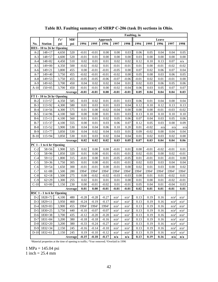<span id="page-49-0"></span>

|        |                                               |                                                                     |                 | Faulting, in |         |          |                  |                  |         |         |                 |                  |                  |
|--------|-----------------------------------------------|---------------------------------------------------------------------|-----------------|--------------|---------|----------|------------------|------------------|---------|---------|-----------------|------------------|------------------|
|        |                                               | ${\bf f}^{\scriptscriptstyle\bullet}{\bf c}^{\scriptscriptstyle 1}$ | MR <sup>1</sup> |              |         | Approach |                  |                  |         |         | Leave           |                  |                  |
| No.    | <b>Station</b>                                | psi                                                                 | psi             | 1994         | 1995    | 1996     | 1997             | 1998             | 1994    | 1995    | 1996            | 1997             | 1998             |
|        | HES - 10 to 26 hr Opening                     |                                                                     |                 |              |         |          |                  |                  |         |         |                 |                  |                  |
| $A-2$  | $148 + 17$                                    | 4,650                                                               | 520             | $-0.01$      | $-0.01$ | 0.00     | 0.00             | 0.03             | 0.06    | 0.05    | 0.04            | 0.04             | 0.05             |
| $A-3$  | $148 + 57$                                    | 4,600                                                               | 520             | $-0.01$      | 0.01    | 0.00     | 0.00             | 0.00             | 0.03    | 0.00    | 0.00            | 0.00             | 0.00             |
| $A-4$  | $148 + 82$                                    | 4,450                                                               | 510             | 0.02         | 0.01    | 0.01     | 0.02             | 0.02             | 0.12    | 0.10    | 0.13            | 0.07             | n/a              |
| $A-5$  | $149 + 00$                                    | 4,350                                                               | 500             | $-0.02$      | $-0.02$ | 0.01     | $-0.01$          | $-0.01$          | 0.01    | 0.00    | $-0.01$         | $-0.02$          | $-0.02$          |
| $A-6$  | $149 + 21$                                    | 3,800                                                               | 455             | 0.00         | $-0.01$ | $-0.01$  | $-0.05$          | 0.00             | 0.07    | 0.02    | 0.06            | 0.07             | 0.04             |
| $A-7$  | $149 + 40$                                    | 3,750                                                               | 455             | $-0.02$      | $-0.01$ | $-0.01$  | $-0.02$          | 0.00             | 0.05    | 0.08    | 0.03            | 0.06             | $0.05\,$         |
| $A-8$  | $149 + 53$                                    | 3,750                                                               | 455             | $-0.05$      | $-0.05$ | $-0.06$  | $-0.07$          | $-0.06$          | $-0.01$ | 0.02    | 0.01            | $-0.01$          | $0.00\,$         |
| $A-9$  | $149 + 65$                                    | 3,700                                                               | 450             | 0.04         | 0.02    | 0.02     | 0.04             | 0.01             | 0.02    | 0.03    | 0.06            | 0.05             | $0.06\,$         |
| $A-10$ | $150 + 05$                                    | 3,700                                                               | 450             | $-0.01$      | $-0.01$ | 0.00     | $-0.02$          | $-0.04$          | 0.06    | 0.03    | 0.05            | 0.07             | 0.07             |
|        |                                               |                                                                     | Average         | $-0.01$      | $-0.01$ | 0.00     | $-0.01$          | $-0.01$          | 0.05    | 0.04    | 0.04            | 0.04             | 0.03             |
|        | FT I - 10 to 26 hr Opening                    |                                                                     |                 |              |         |          |                  |                  |         |         |                 |                  |                  |
| $B-2$  | $113 + 57$                                    | 4,350                                                               | 585             | 0.03         | 0.02    | 0.01     | $-0.01$          | 0.03             | 0.06    | 0.01    | 0.04            | 0.00             | $0.04\,$         |
| $B-3$  | $113 + 92$                                    | 4,300                                                               | 580             | 0.01         | 0.03    | 0.01     | 0.03             | 0.04             | 0.12    | 0.10    | 0.12            | 0.13             | 0.13             |
| $B-4$  | $114 + 56$                                    | 4,300                                                               | 575             | 0.01         | 0.00    | $-0.02$  | $-0.04$          | 0.00             | 0.00    | 0.00    | $-0.01$         | $-0.03$          | $-0.02$          |
| $B-5$  | $114 + 96$                                    | 4,100                                                               | 560             | 0.00         | 0.00    | 0.01     | 0.01             | 0.03             | 0.13    | 0.10    | 0.10            | 0.10             | $0.10\,$         |
| $B-6$  | $115 + 11$                                    | 4,100                                                               | 560             | 0.01         | 0.01    | 0.02     | 0.05             | 0.06             | 0.07    | 0.04    | 0.03            | 0.05             | 0.06             |
| $B-7$  | $115 + 37$                                    | 4,100                                                               | 555             | 0.00         | 0.01    | 0.03     | 0.06             | 0.07             | 0.12    | 0.05    | 0.03            | 0.00             | 0.09             |
| $B-8$  | $115 + 52$                                    | 3,900                                                               | 530             | 0.04         | 0.04    | 0.06     | 0.10             | 0.20             | 0.01    | $-0.02$ | n/a             | n/a              | n/a              |
| $B-9$  | $115 + 77$                                    | 3,850                                                               | 530             | 0.04         | 0.02    | 0.04     | 0.03             | 0.01             | 0.09    | $-0.02$ | 0.00            | 0.04             | 0.04             |
| $B-10$ | $115 + 94$                                    | 3,850                                                               | 530             | 0.01         | 0.03    | 0.02     | 0.04             | 0.04             | 0.01    | 0.02    | 0.03            | 0.02             | 0.00             |
|        | PC 1 - 1 to 6 hr Opening                      |                                                                     | Average         | 0.02         | 0.02    | 0.02     | 0.03             | 0.05             | 0.07    | 0.03    | 0.04            | 0.04             | 0.06             |
| $C-2$  | $58 + 56$                                     | 1,900                                                               | 325             | 0.02         | 0.00    | 0.00     | $-0.01$          | 0.01             | 0.00    | $-0.01$ |                 | $-0.01$          | 0.01             |
| $C-3$  | $58 + 96$                                     | 1,850                                                               | 320             | 0.01         | 0.00    | $-0.01$  | $-0.01$          | $-0.01$          | 0.02    | $-0.01$ | $-0.02$<br>0.00 | 0.02             | $-0.01$          |
| $C-4$  | $59 + 12$                                     | 1,800                                                               | 315             | $-0.01$      | 0.00    | 0.01     | $-0.05$          | $-0.05$          | 0.01    | $-0.01$ | 0.01            | $-0.01$          | 0.00             |
| $C-5$  | $59 + 36$                                     | 1,750                                                               | 305             | 0.01         | 0.00    | $-0.01$  | $-0.01$          | $-0.01$          | 0.02    | 0.03    | 0.03            | 0.04             | 0.04             |
| $C-6$  | $59 + 54$                                     | 1,650                                                               | 300             | $-0.01$      | $-0.01$ | 0.00     | $-0.01$          | 0.00             | 0.02    | 0.01    | 0.03            | 0.00             | $0.02\,$         |
| $C-7$  | $61 + 88$                                     | 1,500                                                               | 280             | 19942        | 19942   | 19942    | 19942            | 19942            | 19942   | 19942   | 19942           | 19942            | 19942            |
| $C-8$  | $62 + 18$                                     | 1,500                                                               | 275             | 0.00         | $-0.02$ | $-0.02$  | $-0.03$          | $-0.03$          | 0.00    | 0.01    | 0.01            | $-0.02$          | 0.01             |
| $C-9$  | $62 + 29$                                     | 1,300                                                               | 255             | 0.02         | 0.01    | 0.01     | 0.01             | 0.00             | 0.01    | 0.00    | 0.01            | $-0.02$          | $-0.01$          |
| $C-10$ | $63 + 00$                                     | 1,150                                                               | 230             | 0.00         | $-0.01$ | $-0.02$  | 0.01             | $-0.01$          | 0.05    | 0.04    | 0.01            | $-0.04$          | 0.03             |
|        |                                               |                                                                     | Average         | 0.01         | 0.00    | $-0.01$  | $-0.01$          | $-0.01$          | 0.02    | 0.01    | 0.01            | $-0.01$          | 0.01             |
|        | $\overline{\text{RSC 1}}$ - 1 to 6 hr Opening |                                                                     |                 |              |         |          |                  |                  |         |         |                 |                  |                  |
|        | $D-2$ 1828+72                                 | 4,100                                                               | 480             | $-0.28$      | $-0.28$ | $-0.27$  | $n/a^3$          | $n/a^3$          | 0.13    | 0.19    | 0.16            | $n/a^3$          | $n/a^3$          |
| $D-3$  | $1829 + 11$                                   | 3,950                                                               | 460             | $-0.24$      | $-0.19$ | $-0.17$  | n/a <sup>3</sup> | n/a <sup>3</sup> | 0.13    | 0.19    | 0.16            | n/a <sup>3</sup> | $n/a^3$          |
|        | $D-4$ 1829+83                                 | 3,900                                                               | 455             | 19942        | 19942   | 19942    | n/a <sup>3</sup> | n/a <sup>3</sup> | 0.13    | 0.19    | 0.16            | n/a <sup>3</sup> | $n/a^3$          |
|        | $D-5$ 1830+25                                 | 3,750                                                               | 440             | $-0.10$      | $-0.07$ | $-0.07$  | n/a <sup>3</sup> | n/a <sup>3</sup> | 0.13    | 0.19    | 0.16            | n/a <sup>3</sup> | $n/a^3$          |
|        | $D-6$ 1830+38                                 | 3,700                                                               | 435             | $-0.12$      | $-0.20$ | $-0.20$  | $n/a^3$          | n/a <sup>3</sup> | 0.13    | 0.19    | 0.16            | n/a <sup>3</sup> | $n/a^3$          |
| $D-7$  | $1831 + 84$                                   | 3,200                                                               | 380             | $-0.18$      | $-0.18$ | $-0.16$  | $n/a^3$          | $n/a^3$          | 0.13    | 0.19    | 0.16            | n/a <sup>3</sup> | n/a <sup>3</sup> |
|        | D-8 1832+20                                   | 3,200                                                               | 380             | $-0.33$      | $-0.24$ | $-0.27$  | n/a <sup>3</sup> | $n/a^3$          | 0.13    | 0.19    | 0.16            | $n/a^3$          | $n/a^3$          |
|        | $D-9$ 1832+34                                 | 2,150                                                               | 245             | $-0.16$      | $-0.14$ | $-0.10$  | $n/a^3$          | $n/a^3$          | 0.13    | 0.19    | 0.16            | n/a <sup>3</sup> | $n/a^3$          |
|        | $D-10$ 1832+61                                | 2,150                                                               | 245             | 0.19         | $-0.10$ | $-0.12$  | $n/a^3$          | $n/a^3$          | 0.13    | 0.19    | 0.16            | n/a <sup>3</sup> | $n/a^3$          |
|        |                                               |                                                                     | Average         | $-0.15$      | $-0.18$ | $-0.17$  | n/a              | n/a              | 0.13    | 0.19    | 0.16            | n/a              | n/a              |

# **Table B3. Faulting summary of SHRP C-206 (task D) sections in Ohio.**

Material properties at the time of opening to traffic; <sup>2</sup>Year removed; <sup>3</sup>Overlaid in 1996

1 MPa = 145.04 psi 1 inch =  $25.4 \text{ mm}$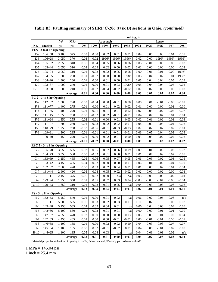|              |                           |                                                                     |                 | <b>Faulting</b> , in |         |          |          |         |         |         |         |         |          |  |  |
|--------------|---------------------------|---------------------------------------------------------------------|-----------------|----------------------|---------|----------|----------|---------|---------|---------|---------|---------|----------|--|--|
|              |                           | ${\bf f}^{\scriptscriptstyle \prime}{\bf c}^{\scriptscriptstyle 1}$ | MR <sup>1</sup> |                      |         | Approach |          |         |         |         | Leave   |         |          |  |  |
| No.          | <b>Station</b>            | psi                                                                 | psi             | 1994                 | 1995    | 1996     | 1997     | 1998    | 1994    | 1995    | 1996    | 1997    | 1998     |  |  |
|              | VES - 3 to 8 hr Opening   |                                                                     |                 |                      |         |          |          |         |         |         |         |         |          |  |  |
| $E-2$        | $106 + 58$                | 3,100                                                               | 375             | 0.03                 | 0.00    | 0.02     | 0.01     | 0.01    | 0.04    | 0.05    | 0.03    | 0.04    | 0.05     |  |  |
| $E-3$        | $106 + 28$                | 3,050                                                               | 370             | $-0.03$              | $-0.02$ | 19963    | 19963    | 19963   | $-0.02$ | 0.00    | 19963   | 19963   | 19963    |  |  |
| $E-4$        | $105 + 82$                | 2,550                                                               | 340             | 0.05                 | 0.04    | 0.05     | 0.06     | 0.06    | 0.05    | $-0.01$ | 0.03    | 0.00    | 0.02     |  |  |
| $E-5$        | $105 + 44$                | 2,050                                                               | 310             | 0.02                 | 0.03    | 0.02     | 0.00     | 0.02    | 0.02    | 0.00    | 0.00    | 0.00    | 0.02     |  |  |
| $E-6$        | $105 + 04$                | 2,050                                                               | 310             | $-0.01$              | $-0.02$ | $-0.02$  | $-0.05$  | $-0.08$ | 0.00    | $-0.01$ | $-0.01$ | 0.00    | 19983    |  |  |
| $E-7$        | $104 + 65$                | 1,300                                                               | 260             | 0.01                 | $-0.02$ | 0.00     | 0.00     | 19983   | 0.03    | 0.04    | 0.02    | 0.01    | 19983    |  |  |
| $\mbox{E-}8$ | $104 + 20$                | 1,300                                                               | 260             | 0.01                 | 0.00    | 0.01     | 0.00     | 0.01    | 0.05    | 0.04    | 0.04    | 0.05    | 0.08     |  |  |
| $E-9$        | $103 + 87$                | 1,000                                                               | 240             | $-0.01$              | 0.00    | $-0.01$  | 0.03     | 19983   | 0.05    | 0.04    | 0.04    | 0.05    | 0.04     |  |  |
| $E-10$       | $103 + 30$                | 1,000                                                               | 240             | 0.00                 | $-0.02$ | $-0.04$  | $-0.02$  | $-0.02$ | 0.07    | 0.02    | 0.03    | 0.03    | 0.03     |  |  |
|              |                           |                                                                     | Average         | 0.01                 | 0.00    | 0.00     | 0.00     | 0.00    | 0.03    | 0.02    | 0.02    | 0.02    | 0.04     |  |  |
|              | PC 2 - 3 to 8 hr Opening  |                                                                     |                 |                      |         |          |          |         |         |         |         |         |          |  |  |
| $F-2$        | $112 + 02$                | 1,500                                                               | 290             | $-0.03$              | $-0.04$ | 0.00     | $-0.01$  | 0.00    | 0.00    | 0.01    | $-0.01$ | $-0.03$ | $-0.02$  |  |  |
| $F-3$        | $111 + 77$                | 1,400                                                               | 275             | $-0.01$              | 0.00    | $-0.01$  | $-0.02$  | $-0.02$ | $-0.01$ | 0.00    | 0.00    | $-0.01$ | 0.00     |  |  |
| $F-4$        | $111 + 65$                | 1,400                                                               | 270             | $-0.01$              | $-0.01$ | $-0.01$  | $-0.01$  | 0.02    | 0.07    | 0.08    | 0.07    | 0.07    | 0.07     |  |  |
| $F-5$        | $111 + 45$                | 1,350                                                               | 260             | 0.00                 | $-0.02$ | 0.02     | $-0.01$  | $-0.01$ | 0.04    | 0.07    | 0.07    | 0.04    | 0.04     |  |  |
| $F-6$        | $111 + 24$                | 1,350                                                               | 255             | 0.02                 | $-0.01$ | 0.00     | $0.01\,$ | 0.03    | 0.02    | 0.01    | 0.02    | 0.01    | 0.03     |  |  |
| $F-7$        | $111 + 07$                | 1,300                                                               | 250             | 0.01                 | $-0.03$ | $-0.02$  | $-0.02$  | $-0.01$ | 0.04    | 0.00    | 0.03    | 0.04    | $0.02\,$ |  |  |
| $F-8$        | $110 + 29$                | 1,250                                                               | 250             | $-0.03$              | $-0.06$ | $-0.01$  | $-0.03$  | $-0.03$ | 0.02    | 0.02    | 0.02    | 0.02    | $0.01\,$ |  |  |
| $F-9$        | $109 + 91$                | 1,200                                                               | 235             | $-0.01$              | $-0.01$ | 0.01     | $-0.01$  | $-0.01$ | 0.06    | 0.05    | 0.04    | 0.03    | 0.03     |  |  |
| $F-10$       | $109 + 40$                | 1,150                                                               | 220             | $-0.01$              | 0.00    | $-0.02$  | $-0.01$  | 0.00    | 0.03    | 0.03    | 0.02    | 0.02    | $0.02\,$ |  |  |
|              |                           |                                                                     | Average         | $-0.01$              | $-0.02$ | 0.00     | $-0.01$  | 0.00    | 0.03    | 0.03    | 0.03    | 0.02    | 0.02     |  |  |
|              | RSC 2 - 3 to 8 hr Opening |                                                                     |                 |                      |         |          |          |         |         |         |         |         |          |  |  |
| $G-2$        | $135 + 70$                | 3,950                                                               | 535             | 0.03                 | 0.05    | 0.07     | 0.06     | 0.09    | 0.00    | $-0.01$ | $-0.02$ | 0.02    | $-0.02$  |  |  |
| $G-3$        | $134 + 73$                | 3,350                                                               | 500             | 0.00                 | $-0.02$ | 0.01     | 0.00     | 0.01    | 0.01    | 0.07    | 0.09    | 0.07    | 0.08     |  |  |
| $G-4$        | $133 + 69$                | 3,150                                                               | 465             | 0.05                 | 0.06    | 0.05     | 0.07     | 0.05    | 0.06    | $-0.03$ | $-0.02$ | $-0.03$ | $-0.05$  |  |  |
| $G-5$        | $133 + 42$                | 3,150                                                               | 465             | 0.04                 | 0.02    | 0.00     | 0.00     | 0.01    | 0.06    | $-0.01$ | -0.02   | $-0.04$ | 0.00     |  |  |
| $G-6$        | $132 + 67$                | 2,600                                                               | 420             | 0.00                 | 0.03    | 0.02     | 0.04     | 0.01    | 0.01    | 0.00    | 0.02    | 0.01    | 0.04     |  |  |
| $G-7$        | $131 + 44$                | 2,600                                                               | 420             | 0.05                 | 0.08    | 0.05     | 0.02     | 0.02    | 0.02    | 0.00    | $-0.02$ | 0.00    | $-0.03$  |  |  |
| $G-8$        | $131 + 11$                | 2,150                                                               | 375             | 0.00                 | 0.02    | 0.00     | n/a      | n/a     | 0.05    | 0.03    | 0.03    | 0.02    | $0.01\,$ |  |  |
| $G-9$        | $129 + 94$                | 1,950                                                               | 350             | 0.01                 | 0.05    | 0.07     | 0.03     | 0.04    | $-0.03$ | $-0.03$ | $-0.04$ | $-0.06$ | $-0.04$  |  |  |
| $G-10$       | $129 + 43$                | 1,850                                                               | 310             | 0.01                 | 0.02    | 0.01     | 0.05     | n/a     | 0.04    | 0.03    | 0.03    | 0.06    | 0.06     |  |  |
|              |                           |                                                                     | Average         | 0.02                 | 0.03    | 0.03     | 0.03     | 0.03    | 0.02    | 0.01    | 0.01    | 0.01    | 0.01     |  |  |
|              | FS-3 to 8 hr Opening      |                                                                     |                 |                      |         |          |          |         |         |         |         |         |          |  |  |
| $H-2$        | $152 + 53$                | 5,250                                                               | 540             | 0.01                 | 0.00    | 0.01     | 0.02     | n/a     | 0.06    | 0.02    | 0.05    | 0.06    | n/a      |  |  |
| $H-3$        | $151 + 11$                | 5,500                                                               | 565             | 0.05                 | 0.03    | 0.02     | 0.03     | 0.01    | 0.11    | 0.07    | 0.10    | 0.05    | 0.07     |  |  |
| $H-4$        | $149 + 48$                | 5,150                                                               | 535             | 0.04                 | 0.02    | 0.04     | 0.01     | n/a     | 0.06    | 0.04    | 0.03    | 0.04    | 0.00     |  |  |
| $H-5$        | $148 + 66$                | 5,100                                                               | 530             | 0.04                 | 0.02    | 0.01     | 0.01     | n/a     | 0.00    | 0.00    | 0.01    | $-0.01$ | 0.00     |  |  |
| $H-6$        | $147 + 57$                | 4,550                                                               | 470             | 0.02                 | 0.00    | 0.00     | 0.00     | 0.03    | 0.05    | 0.00    | 0.01    | 0.02    | 0.04     |  |  |
| $H-7$        | $147 + 03$                | 4,450                                                               | 465             | 0.02                 | 0.00    | 0.00     | $-0.01$  | $-0.01$ | 0.00    | $-0.01$ | $-0.01$ | 0.00    | $-0.01$  |  |  |
| $H-8$        | $146 + 68$                | 1,100                                                               | 135             | 0.01                 | 0.00    | 0.02     | $-0.02$  | 0.10    | 0.04    | 0.03    | 0.08    | 0.07    | 0.07     |  |  |
| $H-9$        | $145 + 04$                | 1,100                                                               | 135             | 0.00                 | 0.02    | $-0.01$  | $-0.02$  | 0.01    | 0.04    | 0.00    | $-0.01$ | 0.02    | 0.00     |  |  |
| $H-10$       | $144 + 25$                | 1,100                                                               | 135             | 0.05                 | 0.04    | 0.03     | n/a      | n/a     | 0.04    | 0.03    | 0.01    | 0.02    | n/a      |  |  |
| Average      |                           |                                                                     |                 | 0.03                 | 0.01    | 0.01     | 0.00     | 0.03    | 0.04    | 0.02    | 0.03    | 0.03    | 0.02     |  |  |

**Table B3. Faulting summary of SHRP C-206 (task D) sections in Ohio.** *(continued)* 

Material properties at the time of opening to traffic; <sup>2</sup>Year removed; <sup>3</sup>Partially patched over with AC.

1 MPa = 145.04 psi

1 inch =  $25.4$  mm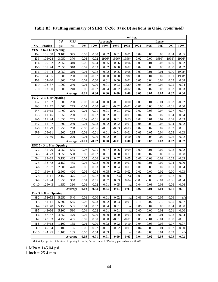|         |                           |       |                 | Faulting, in |         |          |          |         |         |          |         |          |          |
|---------|---------------------------|-------|-----------------|--------------|---------|----------|----------|---------|---------|----------|---------|----------|----------|
|         |                           | f'c'  | MR <sup>1</sup> |              |         | Approach |          |         |         |          | Leave   |          |          |
| No.     | <b>Station</b>            | psi   | psi             | 1994         | 1995    | 1996     | 1997     | 1998    | 1994    | 1995     | 1996    | 1997     | 1998     |
|         | VES - 3 to 8 hr Opening   |       |                 |              |         |          |          |         |         |          |         |          |          |
| $E-2$   | $106 + 58$                | 3,100 | 375             | 0.03         | 0.00    | 0.02     | 0.01     | 0.01    | 0.04    | 0.05     | 0.03    | 0.04     | 0.05     |
| $E-3$   | $106 + 28$                | 3,050 | 370             | $-0.03$      | $-0.02$ | 19963    | 19963    | 19963   | $-0.02$ | $0.00\,$ | 19963   | 19963    | 19963    |
| $E-4$   | $105 + 82$                | 2,550 | 340             | 0.05         | 0.04    | 0.05     | 0.06     | 0.06    | 0.05    | $-0.01$  | 0.03    | 0.00     | 0.02     |
| $E-5$   | $105 + 44$                | 2,050 | 310             | 0.02         | 0.03    | 0.02     | 0.00     | 0.02    | 0.02    | 0.00     | 0.00    | 0.00     | 0.02     |
| $E-6$   | $105 + 04$                | 2,050 | 310             | $-0.01$      | $-0.02$ | $-0.02$  | $-0.05$  | $-0.08$ | 0.00    | $-0.01$  | $-0.01$ | 0.00     | 19983    |
| $E-7$   | $104 + 65$                | 1,300 | 260             | 0.01         | $-0.02$ | 0.00     | 0.00     | 19983   | 0.03    | 0.04     | 0.02    | 0.01     | 19983    |
| $E-8$   | $104 + 20$                | 1,300 | 260             | 0.01         | 0.00    | 0.01     | 0.00     | 0.01    | 0.05    | 0.04     | 0.04    | 0.05     | 0.08     |
| $E-9$   | $103 + 87$                | 1,000 | 240             | $-0.01$      | 0.00    | $-0.01$  | 0.03     | 19983   | 0.05    | 0.04     | 0.04    | 0.05     | 0.04     |
| $E-10$  | $103 + 30$                | 1,000 | 240             | 0.00         | $-0.02$ | $-0.04$  | $-0.02$  | $-0.02$ | 0.07    | 0.02     | 0.03    | 0.03     | 0.03     |
|         |                           |       | Average         | 0.01         | 0.00    | 0.00     | 0.00     | 0.00    | 0.03    | 0.02     | 0.02    | 0.02     | 0.04     |
|         | PC 2 - 3 to 8 hr Opening  |       |                 |              |         |          |          |         |         |          |         |          |          |
| $F-2$   | $112 + 02$                | 1,500 | 290             | $-0.03$      | $-0.04$ | 0.00     | $-0.01$  | 0.00    | 0.00    | 0.01     | $-0.01$ | $-0.03$  | $-0.02$  |
| $F-3$   | $111 + 77$                | 1,400 | 275             | $-0.01$      | 0.00    | $-0.01$  | $-0.02$  | $-0.02$ | $-0.01$ | 0.00     | 0.00    | $-0.01$  | 0.00     |
| $F-4$   | $111 + 65$                | 1,400 | 270             | $-0.01$      | $-0.01$ | $-0.01$  | $-0.01$  | 0.02    | 0.07    | 0.08     | 0.07    | 0.07     | 0.07     |
| $F-5$   | $111 + 45$                | 1,350 | 260             | 0.00         | $-0.02$ | 0.02     | $-0.01$  | $-0.01$ | 0.04    | 0.07     | 0.07    | 0.04     | $0.04\,$ |
| $F-6$   | $111 + 24$                | 1,350 | 255             | 0.02         | $-0.01$ | 0.00     | $0.01\,$ | 0.03    | 0.02    | 0.01     | 0.02    | $0.01\,$ | 0.03     |
| $F-7$   | $111 + 07$                | 1,300 | 250             | 0.01         | $-0.03$ | $-0.02$  | $-0.02$  | $-0.01$ | 0.04    | 0.00     | 0.03    | 0.04     | $0.02\,$ |
| $F-8$   | $110+29$                  | 1,250 | 250             | $-0.03$      | $-0.06$ | $-0.01$  | $-0.03$  | $-0.03$ | 0.02    | 0.02     | 0.02    | 0.02     | 0.01     |
| $F-9$   | $109 + 91$                | 1,200 | 235             | $-0.01$      | $-0.01$ | 0.01     | $-0.01$  | $-0.01$ | 0.06    | 0.05     | 0.04    | 0.03     | 0.03     |
| $F-10$  | $109 + 40$                | 1,150 | 220             | $-0.01$      | 0.00    | $-0.02$  | $-0.01$  | 0.00    | 0.03    | 0.03     | 0.02    | 0.02     | 0.02     |
|         |                           |       | Average         | $-0.01$      | $-0.02$ | 0.00     | $-0.01$  | 0.00    | 0.03    | 0.03     | 0.03    | 0.02     | 0.02     |
|         | RSC 2 - 3 to 8 hr Opening |       |                 |              |         |          |          |         |         |          |         |          |          |
| $G-2$   | $135 + 70$                | 3,950 | 535             | 0.03         | 0.05    | 0.07     | 0.06     | 0.09    | 0.00    | $-0.01$  | $-0.02$ | 0.02     | $-0.02$  |
| $G-3$   | $134 + 73$                | 3,350 | 500             | 0.00         | $-0.02$ | 0.01     | 0.00     | 0.01    | 0.01    | 0.07     | 0.09    | 0.07     | 0.08     |
| $G-4$   | $133+69$                  | 3,150 | 465             | 0.05         | 0.06    | 0.05     | 0.07     | 0.05    | 0.06    | $-0.03$  | $-0.02$ | $-0.03$  | $-0.05$  |
| $G-5$   | $133 + 42$                | 3,150 | 465             | 0.04         | 0.02    | 0.00     | 0.00     | 0.01    | 0.06    | $-0.01$  | $-0.02$ | $-0.04$  | 0.00     |
| $G-6$   | $132 + 67$                | 2,600 | 420             | 0.00         | 0.03    | 0.02     | 0.04     | 0.01    | 0.01    | 0.00     | 0.02    | 0.01     | 0.04     |
| $G-7$   | $131 + 44$                | 2,600 | 420             | 0.05         | 0.08    | 0.05     | 0.02     | 0.02    | 0.02    | 0.00     | $-0.02$ | 0.00     | $-0.03$  |
| $G-8$   | $131 + 11$                | 2,150 | 375             | 0.00         | 0.02    | 0.00     | n/a      | n/a     | 0.05    | 0.03     | 0.03    | 0.02     | $0.01\,$ |
| $G-9$   | $129 + 94$                | 1,950 | 350             | 0.01         | 0.05    | 0.07     | 0.03     | 0.04    | $-0.03$ | $-0.03$  | $-0.04$ | $-0.06$  | $-0.04$  |
| $G-10$  | $129 + 43$                | 1,850 | 310             | 0.01         | 0.02    | 0.01     | 0.05     | n/a     | 0.04    | 0.03     | 0.03    | 0.06     | 0.06     |
|         |                           |       | Average         | 0.02         | 0.03    | 0.03     | 0.03     | 0.03    | 0.02    | 0.01     | 0.01    | 0.01     | 0.01     |
|         | FS-3 to 8 hr Opening      |       |                 |              |         |          |          |         |         |          |         |          |          |
| $H-2$   | $152 + 53$                | 5,250 | 540             | 0.01         | 0.00    | 0.01     | 0.02     | n/a     | 0.06    | 0.02     | 0.05    | 0.06     | n/a      |
| $H-3$   | $151 + 11$                | 5,500 | 565             | 0.05         | 0.03    | 0.02     | 0.03     | 0.01    | 0.11    | 0.07     | 0.10    | 0.05     | 0.07     |
| $H-4$   | $149 + 48$                | 5,150 | 535             | 0.04         | 0.02    | 0.04     | 0.01     | n/a     | 0.06    | 0.04     | 0.03    | 0.04     | 0.00     |
| $H-5$   | $148 + 66$                | 5,100 | 530             | 0.04         | 0.02    | 0.01     | 0.01     | n/a     | 0.00    | 0.00     | 0.01    | $-0.01$  | 0.00     |
| $H-6$   | $147 + 57$                | 4,550 | 470             | 0.02         | 0.00    | 0.00     | 0.00     | 0.03    | 0.05    | 0.00     | 0.01    | 0.02     | 0.04     |
| $H-7$   | $147 + 03$                | 4,450 | 465             | 0.02         | 0.00    | 0.00     | $-0.01$  | $-0.01$ | 0.00    | $-0.01$  | $-0.01$ | 0.00     | $-0.01$  |
| $H-8$   | $146 + 68$                | 1,100 | 135             | 0.01         | 0.00    | 0.02     | $-0.02$  | 0.10    | 0.04    | 0.03     | 0.08    | 0.07     | 0.07     |
| $H-9$   | $145 + 04$                | 1,100 | 135             | 0.00         | 0.02    | $-0.01$  | $-0.02$  | 0.01    | 0.04    | 0.00     | $-0.01$ | 0.02     | 0.00     |
| $H-10$  | $144 + 25$                | 1,100 | 135             | 0.05         | 0.04    | 0.03     | n/a      | n/a     | 0.04    | 0.03     | 0.01    | 0.02     | n/a      |
| Average |                           |       |                 | 0.03         | 0.01    | 0.01     | 0.00     | 0.03    | 0.04    | 0.02     | 0.03    | 0.03     | 0.02     |

**Table B3. Faulting summary of SHRP C-206 (task D) sections in Ohio.** *(continued)* 

<sup>1</sup>Material properties at the time of opening to traffic; <sup>2</sup>Year removed; <sup>3</sup>Partially patched over with AC.

1 MPa = 145.04 psi

1 inch =  $25.4 \text{ mm}$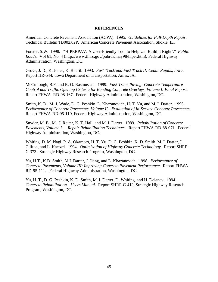#### **REFERENCES**

<span id="page-52-0"></span>American Concrete Pavement Association (ACPA). 1995. *Guidelines for Full-Depth Repair*. Technical Bulletin TB002.02P. American Concrete Pavement Association, Skokie, IL.

Forster, S.W. 1998. "HIPERPAV: A User-Friendly Tool to Help Us 'Build It Right'." *Public Roads*. Vol 61, No. 4 (http://www.tfhrc.gov/pubrds/may98/hiper.htm). Federal Highway Administration, Washington, DC.

Grove, J. D., K. Jones, K. Bharil. 1993. *Fast Track and Fast Track II: Cedar Rapids, Iowa*. Report HR-544. Iowa Department of Transportation, Ames, IA.

McCullough, B.F. and R. O. Rasmussan. 1999. *Fast-Track Paving: Concrete Temperature Control and Traffic Opening Criteria for Bonding Concrete Overlays, Volume I: Final Report*. Report FHWA−RD-98-167. Federal Highway Administration, Washington, DC.

Smith, K. D., M. J. Wade, D. G. Peshkin, L. Khazanovich, H. T. Yu, and M. I. Darter. 1995. *Performance of Concrete Pavements, Volume II—Evaluation of In-Service Concrete Pavements*. Report FHWA-RD-95-110, Federal Highway Administration, Washington, DC.

Snyder, M. B., M. J. Reiter, K. T. Hall, and M. I. Darter. 1989. *Rehabilitation of Concrete Pavements, Volume I — Repair Rehabilitation Techniques*. Report FHWA-RD-88-071. Federal Highway Administration, Washington, DC.

Whiting, D. M. Nagi, P. A. Okamoto, H. T. Yu, D. G. Peshkin, K. D. Smith, M. I. Darter, J. Clifton, and L. Kaetzel. 1994. *Optimization of Highway Concrete Technology*. Report SHRP-C-373. Strategic Highway Research Program, Washington, DC.

Yu, H.T., K.D. Smith, M.I. Darter, J. Jiang, and L. Khazanovich. 1998. *Performance of Concrete Pavements, Volume III: Improving Concrete Pavement Performance*. Report FHWA-RD-95-111. Federal Highway Administration, Washington, DC.

Yu, H. T., D. G. Peshkin, K. D. Smith, M. I. Darter, D. Whiting, and H. Delaney. 1994. *Concrete Rehabilitation—Users Manual*. Report SHRP-C-412, Strategic Highway Research Program, Washington, DC.